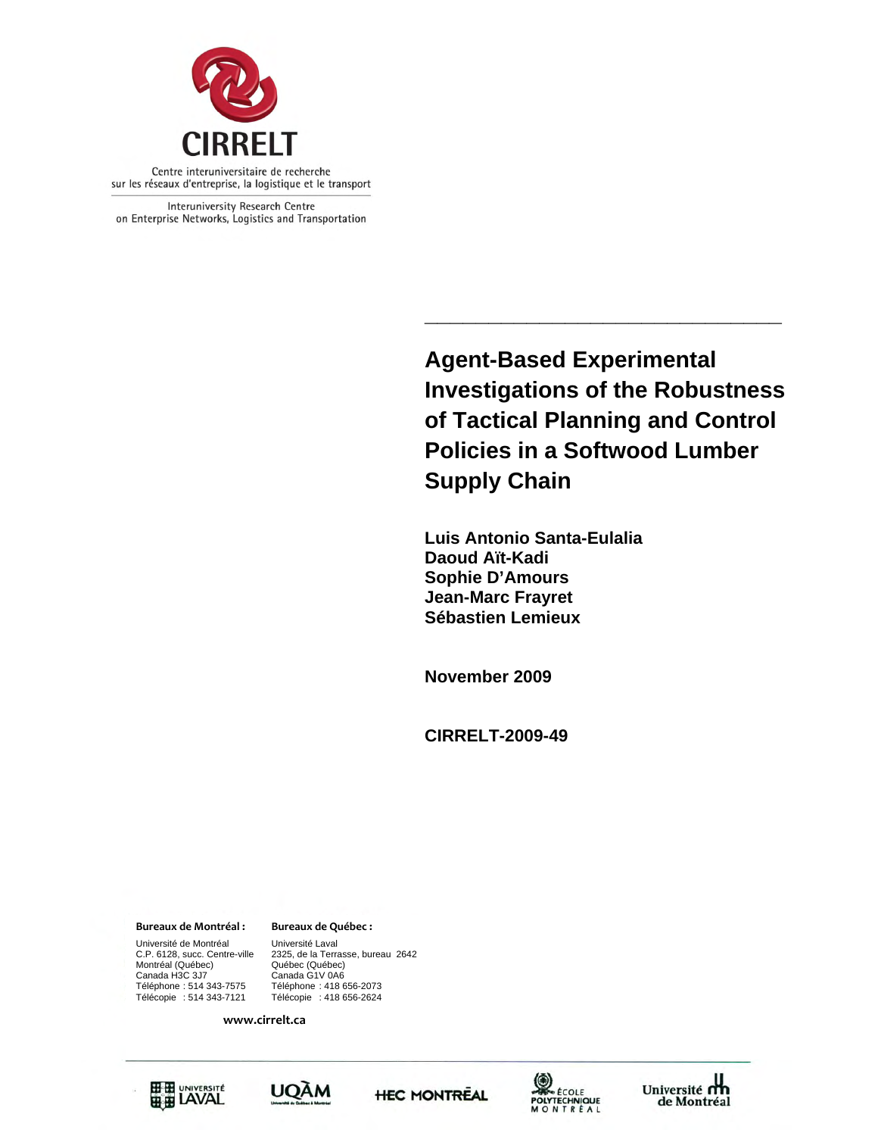

Interuniversity Research Centre on Enterprise Networks, Logistics and Transportation

> **Agent-Based Experimental Investigations of the Robustness of Tactical Planning and Control Policies in a Softwood Lumber Supply Chain**

> **\_\_\_\_\_\_\_\_\_\_\_\_\_\_\_\_\_\_\_\_\_\_\_\_\_\_\_\_**

**Luis Antonio Santa-Eulalia Daoud Aït-Kadi Sophie D'Amours Jean-Marc Frayret Sébastien Lemieux** 

**November 2009** 

**CIRRELT-2009-49** 

**Bureaux de Montréal : Bureaux de Québec :**

Université de Montréal Université Laval<br>C.P. 6128, succ. Centre-ville 2325, de la Terra Montréal (Québec)<br>Canada H3C 3J7 Canada H3C 337<br>Téléphone : 514 343-7575<br>Télécopie : 514 343-7121

Canada G1V 0A6 2325, de la Terrasse, bureau 2642<br>Québec (Québec) Télécopie : 514 343-7121 Télécopie : 418 656-2624

**www.cirrelt.ca**









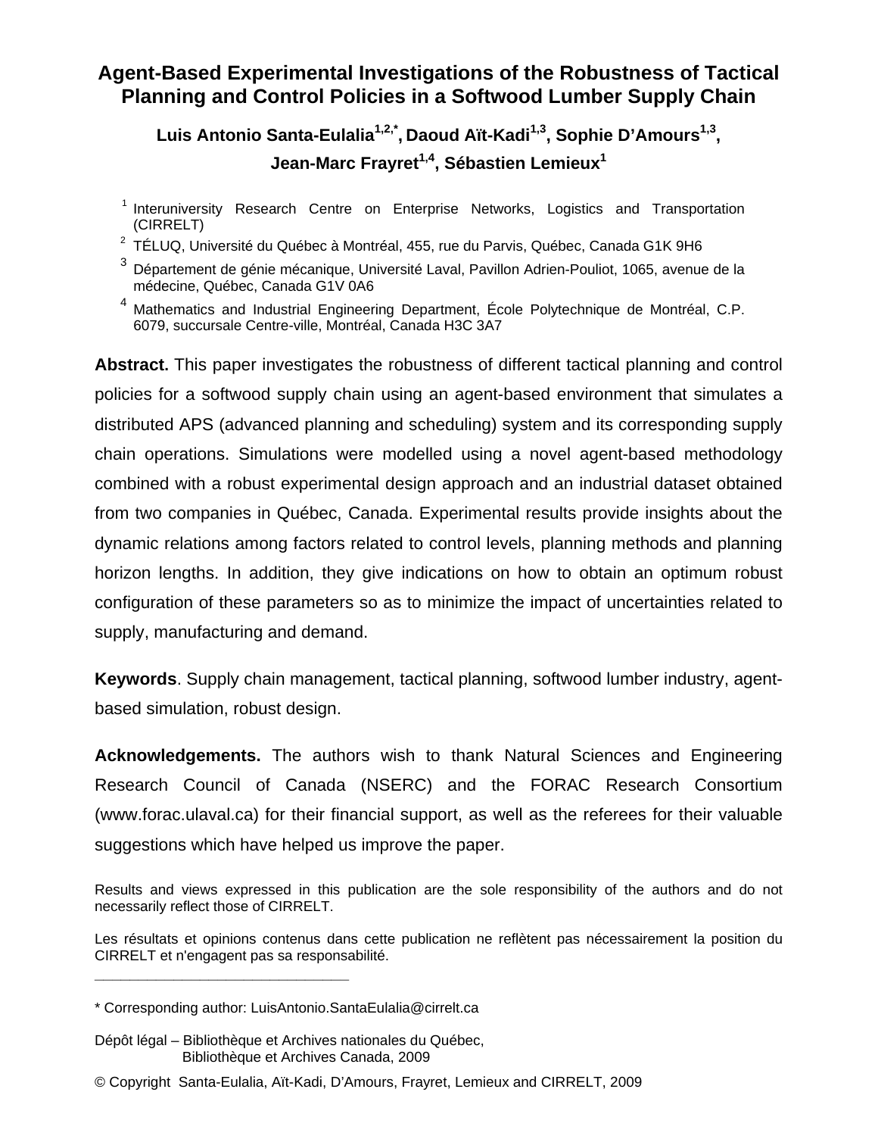Luis Antonio Santa-Eulalia<sup>1,2,\*</sup>, Daoud Aït-Kadi<sup>1,3</sup>, Sophie D'Amours<sup>1,3</sup>, **Jean-Marc Frayret<sup>1,4</sup>, Sébastien Lemieux<sup>1</sup>** 

- <sup>1</sup> Interuniversity Research Centre on Enterprise Networks, Logistics and Transportation (CIRRELT)
- $^2$  TÉLUQ, Université du Québec à Montréal, 455, rue du Parvis, Québec, Canada G1K 9H6
- <sup>3</sup> Département de génie mécanique, Université Laval, Pavillon Adrien-Pouliot, 1065, avenue de la médecine, Québec, Canada G1V 0A6
- <sup>4</sup> Mathematics and Industrial Engineering Department, École Polytechnique de Montréal, C.P. 6079, succursale Centre-ville, Montréal, Canada H3C 3A7

**Abstract.** This paper investigates the robustness of different tactical planning and control policies for a softwood supply chain using an agent-based environment that simulates a distributed APS (advanced planning and scheduling) system and its corresponding supply chain operations. Simulations were modelled using a novel agent-based methodology combined with a robust experimental design approach and an industrial dataset obtained from two companies in Québec, Canada. Experimental results provide insights about the dynamic relations among factors related to control levels, planning methods and planning horizon lengths. In addition, they give indications on how to obtain an optimum robust configuration of these parameters so as to minimize the impact of uncertainties related to supply, manufacturing and demand.

**Keywords**. Supply chain management, tactical planning, softwood lumber industry, agentbased simulation, robust design.

**Acknowledgements.** The authors wish to thank Natural Sciences and Engineering Research Council of Canada (NSERC) and the FORAC Research Consortium (www.forac.ulaval.ca) for their financial support, as well as the referees for their valuable suggestions which have helped us improve the paper.

© Copyright Santa-Eulalia, Aït-Kadi, D'Amours, Frayret, Lemieux and CIRRELT, 2009

Results and views expressed in this publication are the sole responsibility of the authors and do not necessarily reflect those of CIRRELT.

Les résultats et opinions contenus dans cette publication ne reflètent pas nécessairement la position du CIRRELT et n'engagent pas sa responsabilité. **\_\_\_\_\_\_\_\_\_\_\_\_\_\_\_\_\_\_\_\_\_\_\_\_\_\_\_\_\_**

<sup>\*</sup> Corresponding author: LuisAntonio.SantaEulalia@cirrelt.ca

Dépôt légal – Bibliothèque et Archives nationales du Québec, Bibliothèque et Archives Canada, 2009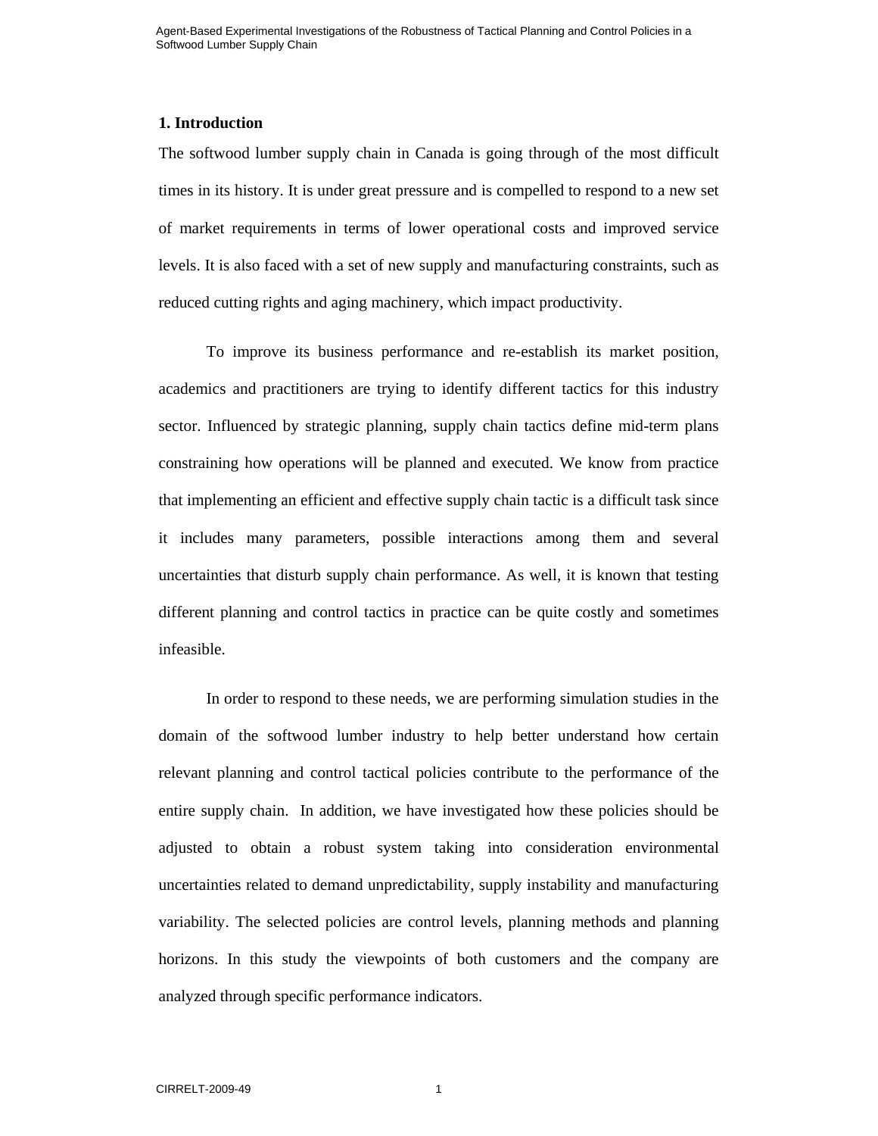# **1. Introduction**

The softwood lumber supply chain in Canada is going through of the most difficult times in its history. It is under great pressure and is compelled to respond to a new set of market requirements in terms of lower operational costs and improved service levels. It is also faced with a set of new supply and manufacturing constraints, such as reduced cutting rights and aging machinery, which impact productivity.

To improve its business performance and re-establish its market position, academics and practitioners are trying to identify different tactics for this industry sector. Influenced by strategic planning, supply chain tactics define mid-term plans constraining how operations will be planned and executed. We know from practice that implementing an efficient and effective supply chain tactic is a difficult task since it includes many parameters, possible interactions among them and several uncertainties that disturb supply chain performance. As well, it is known that testing different planning and control tactics in practice can be quite costly and sometimes infeasible.

In order to respond to these needs, we are performing simulation studies in the domain of the softwood lumber industry to help better understand how certain relevant planning and control tactical policies contribute to the performance of the entire supply chain. In addition, we have investigated how these policies should be adjusted to obtain a robust system taking into consideration environmental uncertainties related to demand unpredictability, supply instability and manufacturing variability. The selected policies are control levels, planning methods and planning horizons. In this study the viewpoints of both customers and the company are analyzed through specific performance indicators.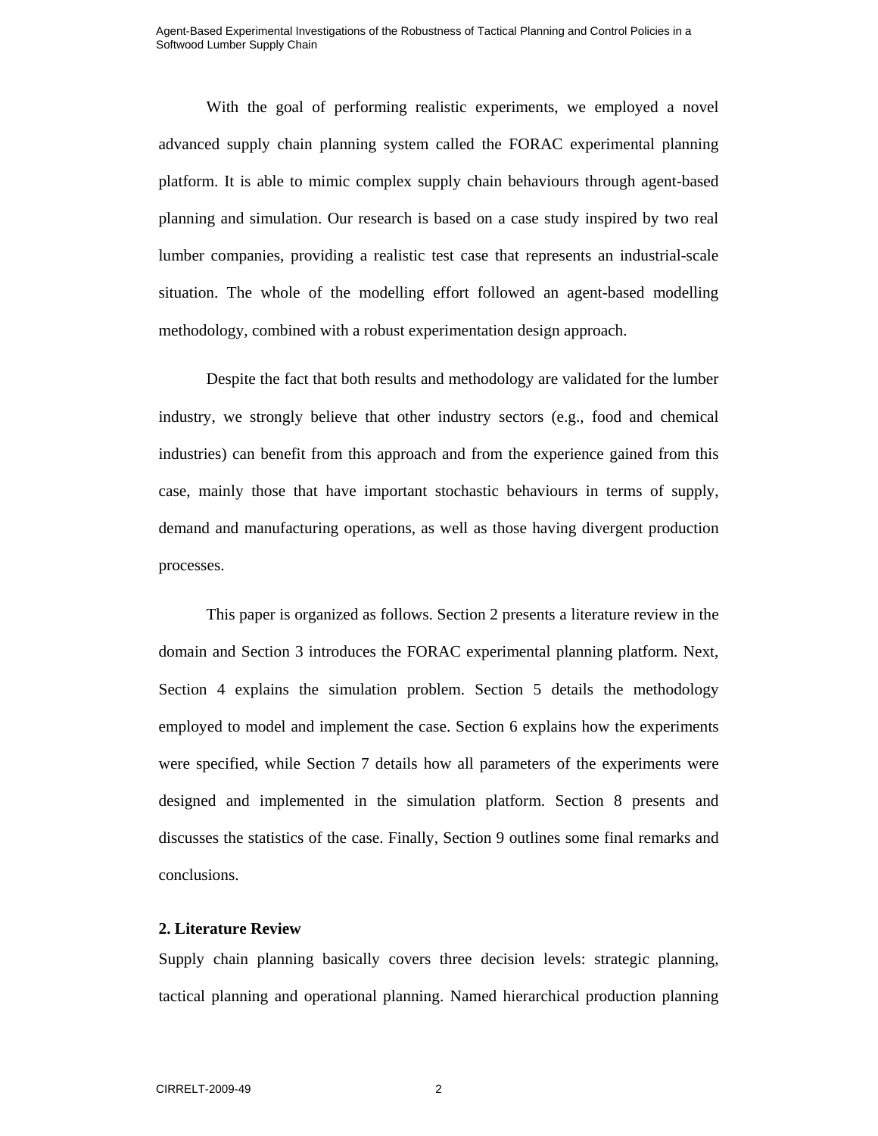With the goal of performing realistic experiments, we employed a novel advanced supply chain planning system called the FORAC experimental planning platform. It is able to mimic complex supply chain behaviours through agent-based planning and simulation. Our research is based on a case study inspired by two real lumber companies, providing a realistic test case that represents an industrial-scale situation. The whole of the modelling effort followed an agent-based modelling methodology, combined with a robust experimentation design approach.

Despite the fact that both results and methodology are validated for the lumber industry, we strongly believe that other industry sectors (e.g., food and chemical industries) can benefit from this approach and from the experience gained from this case, mainly those that have important stochastic behaviours in terms of supply, demand and manufacturing operations, as well as those having divergent production processes.

This paper is organized as follows. Section 2 presents a literature review in the domain and Section 3 introduces the FORAC experimental planning platform. Next, Section 4 explains the simulation problem. Section 5 details the methodology employed to model and implement the case. Section 6 explains how the experiments were specified, while Section 7 details how all parameters of the experiments were designed and implemented in the simulation platform. Section 8 presents and discusses the statistics of the case. Finally, Section 9 outlines some final remarks and conclusions.

### **2. Literature Review**

Supply chain planning basically covers three decision levels: strategic planning, tactical planning and operational planning. Named hierarchical production planning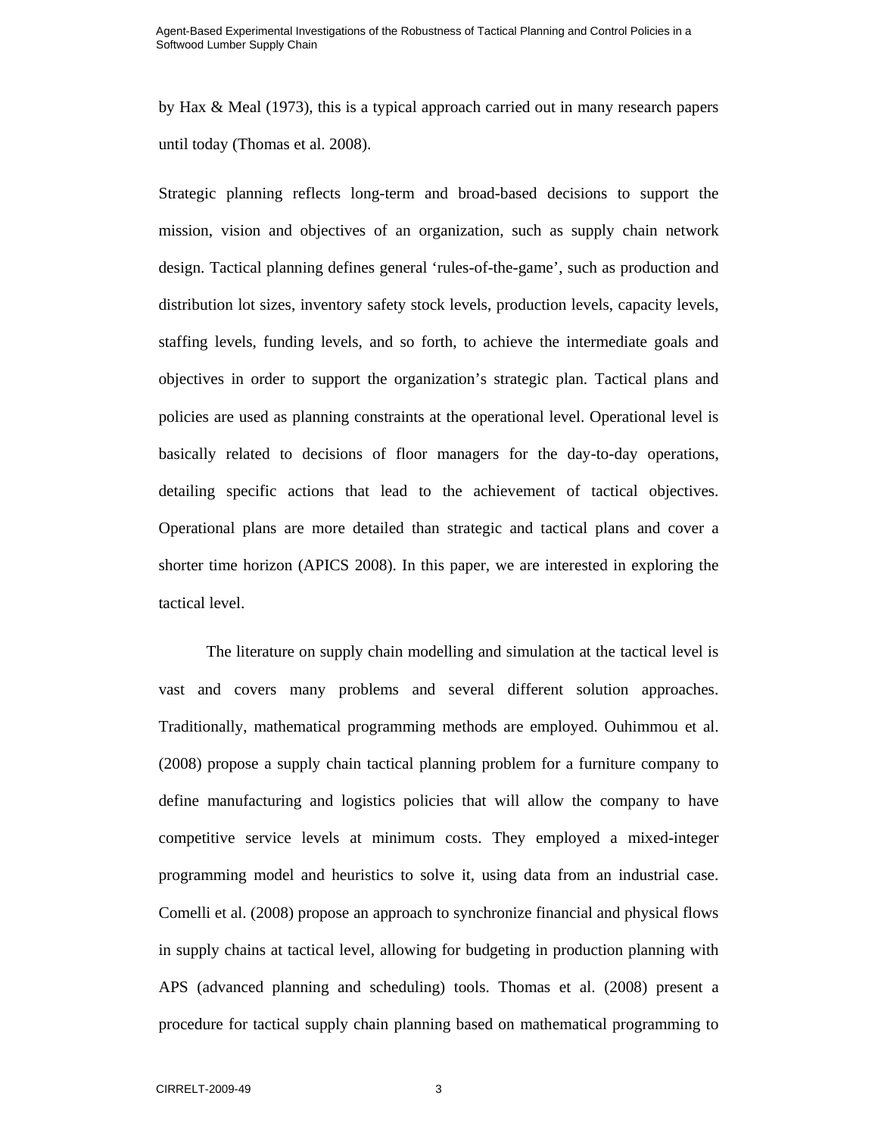by Hax & Meal (1973), this is a typical approach carried out in many research papers until today (Thomas et al. 2008).

Strategic planning reflects long-term and broad-based decisions to support the mission, vision and objectives of an organization, such as supply chain network design. Tactical planning defines general 'rules-of-the-game', such as production and distribution lot sizes, inventory safety stock levels, production levels, capacity levels, staffing levels, funding levels, and so forth, to achieve the intermediate goals and objectives in order to support the organization's strategic plan. Tactical plans and policies are used as planning constraints at the operational level. Operational level is basically related to decisions of floor managers for the day-to-day operations, detailing specific actions that lead to the achievement of tactical objectives. Operational plans are more detailed than strategic and tactical plans and cover a shorter time horizon (APICS 2008). In this paper, we are interested in exploring the tactical level.

The literature on supply chain modelling and simulation at the tactical level is vast and covers many problems and several different solution approaches. Traditionally, mathematical programming methods are employed. Ouhimmou et al. (2008) propose a supply chain tactical planning problem for a furniture company to define manufacturing and logistics policies that will allow the company to have competitive service levels at minimum costs. They employed a mixed-integer programming model and heuristics to solve it, using data from an industrial case. Comelli et al. (2008) propose an approach to synchronize financial and physical flows in supply chains at tactical level, allowing for budgeting in production planning with APS (advanced planning and scheduling) tools. Thomas et al. (2008) present a procedure for tactical supply chain planning based on mathematical programming to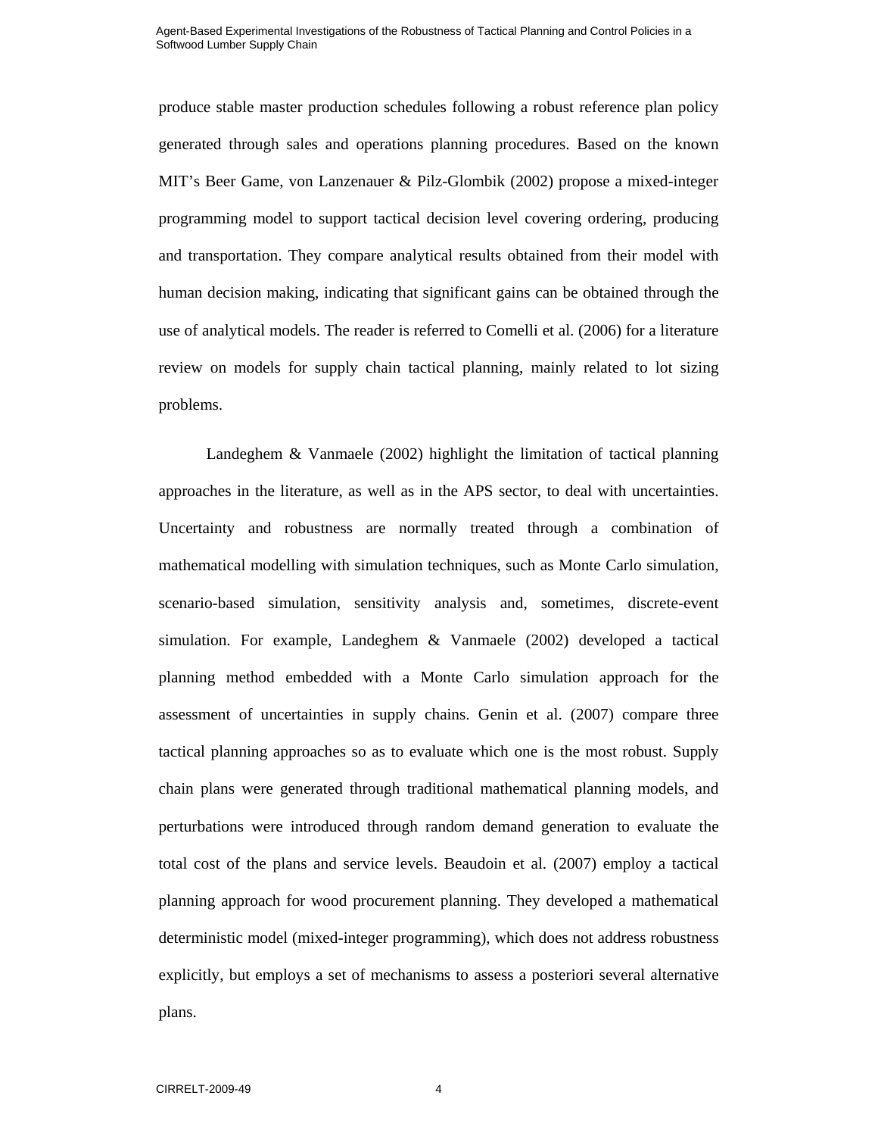produce stable master production schedules following a robust reference plan policy generated through sales and operations planning procedures. Based on the known MIT's Beer Game, von Lanzenauer & Pilz-Glombik (2002) propose a mixed-integer programming model to support tactical decision level covering ordering, producing and transportation. They compare analytical results obtained from their model with human decision making, indicating that significant gains can be obtained through the use of analytical models. The reader is referred to Comelli et al. (2006) for a literature review on models for supply chain tactical planning, mainly related to lot sizing problems.

Landeghem & Vanmaele (2002) highlight the limitation of tactical planning approaches in the literature, as well as in the APS sector, to deal with uncertainties. Uncertainty and robustness are normally treated through a combination of mathematical modelling with simulation techniques, such as Monte Carlo simulation, scenario-based simulation, sensitivity analysis and, sometimes, discrete-event simulation. For example, Landeghem & Vanmaele (2002) developed a tactical planning method embedded with a Monte Carlo simulation approach for the assessment of uncertainties in supply chains. Genin et al. (2007) compare three tactical planning approaches so as to evaluate which one is the most robust. Supply chain plans were generated through traditional mathematical planning models, and perturbations were introduced through random demand generation to evaluate the total cost of the plans and service levels. Beaudoin et al. (2007) employ a tactical planning approach for wood procurement planning. They developed a mathematical deterministic model (mixed-integer programming), which does not address robustness explicitly, but employs a set of mechanisms to assess a posteriori several alternative plans.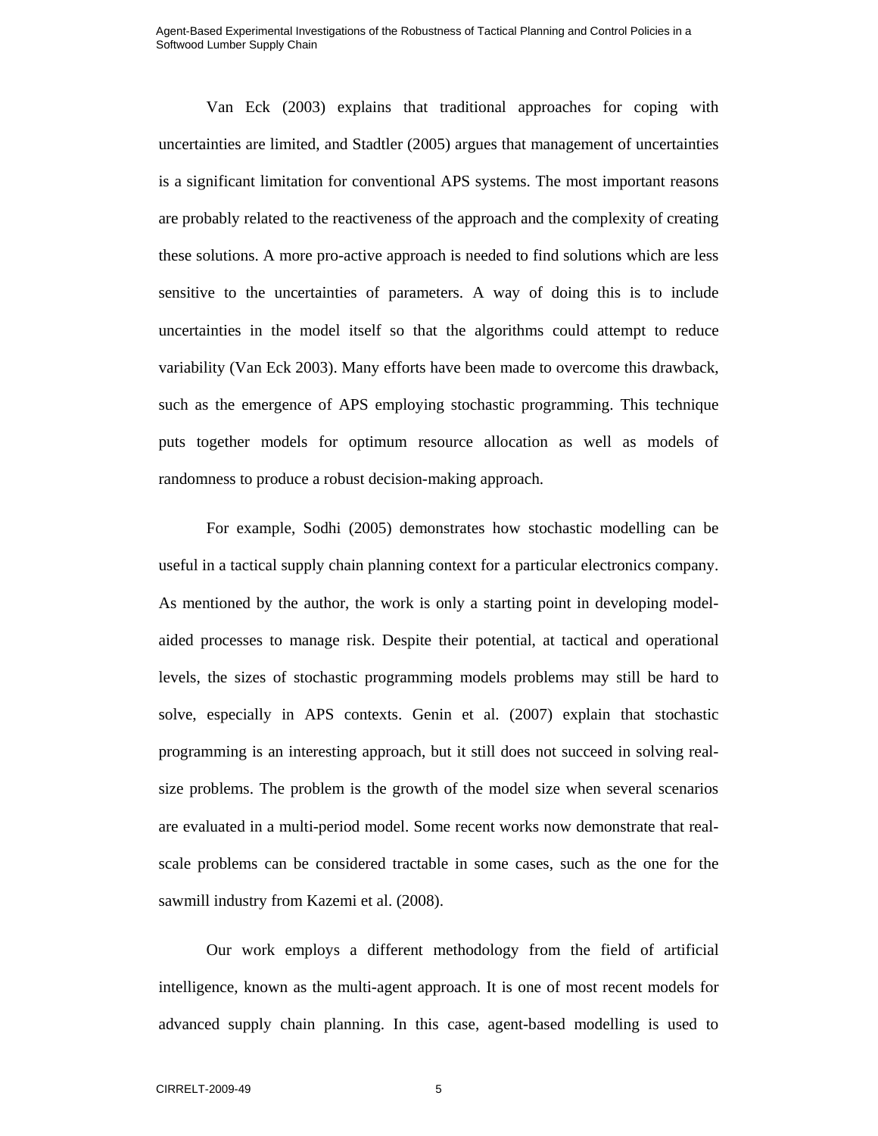Van Eck (2003) explains that traditional approaches for coping with uncertainties are limited, and Stadtler (2005) argues that management of uncertainties is a significant limitation for conventional APS systems. The most important reasons are probably related to the reactiveness of the approach and the complexity of creating these solutions. A more pro-active approach is needed to find solutions which are less sensitive to the uncertainties of parameters. A way of doing this is to include uncertainties in the model itself so that the algorithms could attempt to reduce variability (Van Eck 2003). Many efforts have been made to overcome this drawback, such as the emergence of APS employing stochastic programming. This technique puts together models for optimum resource allocation as well as models of randomness to produce a robust decision-making approach.

For example, Sodhi (2005) demonstrates how stochastic modelling can be useful in a tactical supply chain planning context for a particular electronics company. As mentioned by the author, the work is only a starting point in developing modelaided processes to manage risk. Despite their potential, at tactical and operational levels, the sizes of stochastic programming models problems may still be hard to solve, especially in APS contexts. Genin et al. (2007) explain that stochastic programming is an interesting approach, but it still does not succeed in solving realsize problems. The problem is the growth of the model size when several scenarios are evaluated in a multi-period model. Some recent works now demonstrate that realscale problems can be considered tractable in some cases, such as the one for the sawmill industry from Kazemi et al. (2008).

Our work employs a different methodology from the field of artificial intelligence, known as the multi-agent approach. It is one of most recent models for advanced supply chain planning. In this case, agent-based modelling is used to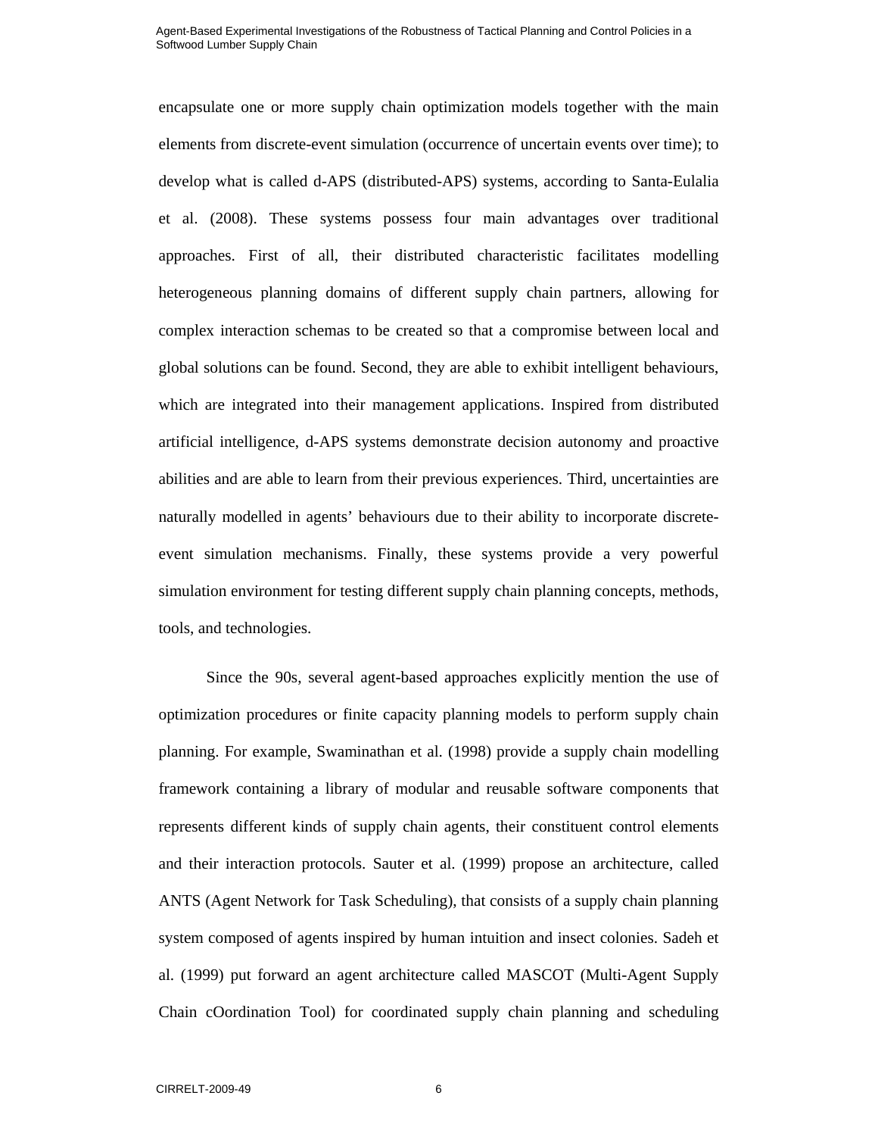encapsulate one or more supply chain optimization models together with the main elements from discrete-event simulation (occurrence of uncertain events over time); to develop what is called d-APS (distributed-APS) systems, according to Santa-Eulalia et al. (2008). These systems possess four main advantages over traditional approaches. First of all, their distributed characteristic facilitates modelling heterogeneous planning domains of different supply chain partners, allowing for complex interaction schemas to be created so that a compromise between local and global solutions can be found. Second, they are able to exhibit intelligent behaviours, which are integrated into their management applications. Inspired from distributed artificial intelligence, d-APS systems demonstrate decision autonomy and proactive abilities and are able to learn from their previous experiences. Third, uncertainties are naturally modelled in agents' behaviours due to their ability to incorporate discreteevent simulation mechanisms. Finally, these systems provide a very powerful simulation environment for testing different supply chain planning concepts, methods, tools, and technologies.

Since the 90s, several agent-based approaches explicitly mention the use of optimization procedures or finite capacity planning models to perform supply chain planning. For example, Swaminathan et al. (1998) provide a supply chain modelling framework containing a library of modular and reusable software components that represents different kinds of supply chain agents, their constituent control elements and their interaction protocols. Sauter et al. (1999) propose an architecture, called ANTS (Agent Network for Task Scheduling), that consists of a supply chain planning system composed of agents inspired by human intuition and insect colonies. Sadeh et al. (1999) put forward an agent architecture called MASCOT (Multi-Agent Supply Chain cOordination Tool) for coordinated supply chain planning and scheduling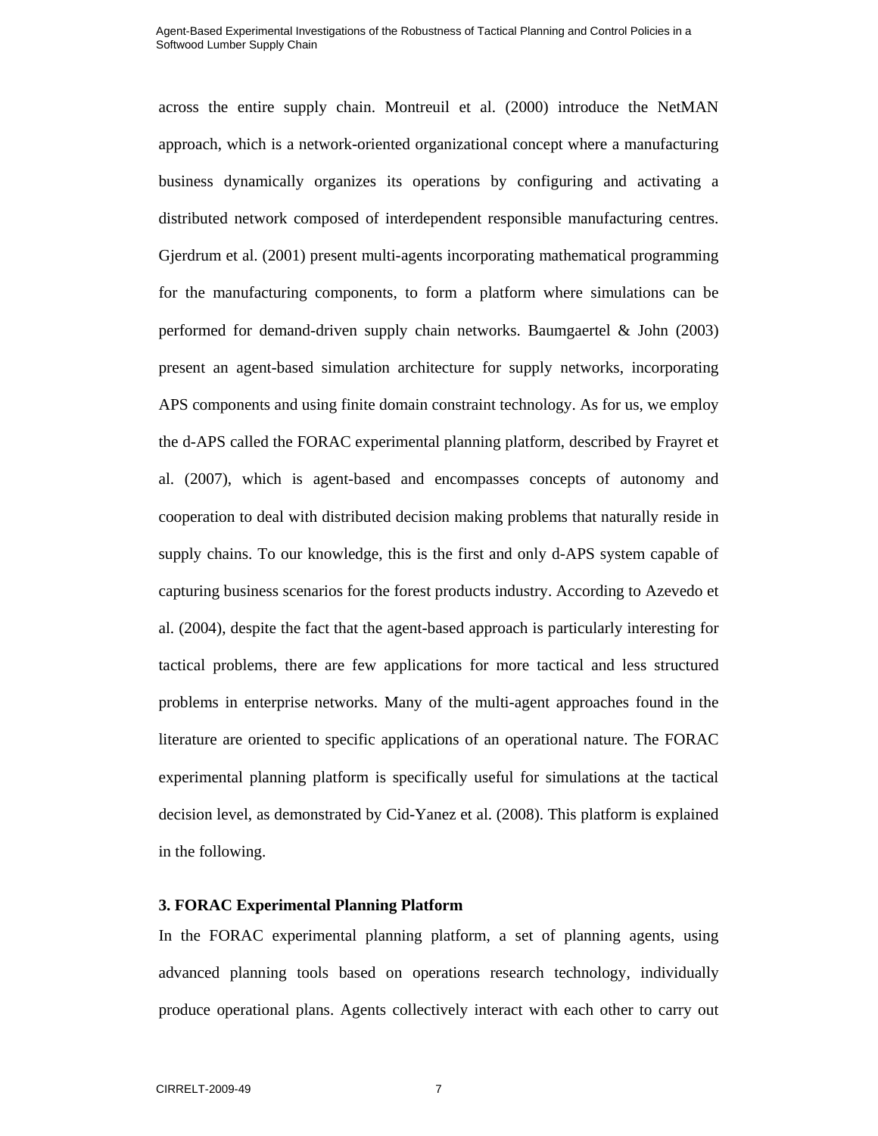across the entire supply chain. Montreuil et al. (2000) introduce the NetMAN approach, which is a network-oriented organizational concept where a manufacturing business dynamically organizes its operations by configuring and activating a distributed network composed of interdependent responsible manufacturing centres. Gjerdrum et al. (2001) present multi-agents incorporating mathematical programming for the manufacturing components, to form a platform where simulations can be performed for demand-driven supply chain networks. Baumgaertel & John (2003) present an agent-based simulation architecture for supply networks, incorporating APS components and using finite domain constraint technology. As for us, we employ the d-APS called the FORAC experimental planning platform, described by Frayret et al. (2007), which is agent-based and encompasses concepts of autonomy and cooperation to deal with distributed decision making problems that naturally reside in supply chains. To our knowledge, this is the first and only d-APS system capable of capturing business scenarios for the forest products industry. According to Azevedo et al. (2004), despite the fact that the agent-based approach is particularly interesting for tactical problems, there are few applications for more tactical and less structured problems in enterprise networks. Many of the multi-agent approaches found in the literature are oriented to specific applications of an operational nature. The FORAC experimental planning platform is specifically useful for simulations at the tactical decision level, as demonstrated by Cid-Yanez et al. (2008). This platform is explained in the following.

### **3. FORAC Experimental Planning Platform**

In the FORAC experimental planning platform, a set of planning agents, using advanced planning tools based on operations research technology, individually produce operational plans. Agents collectively interact with each other to carry out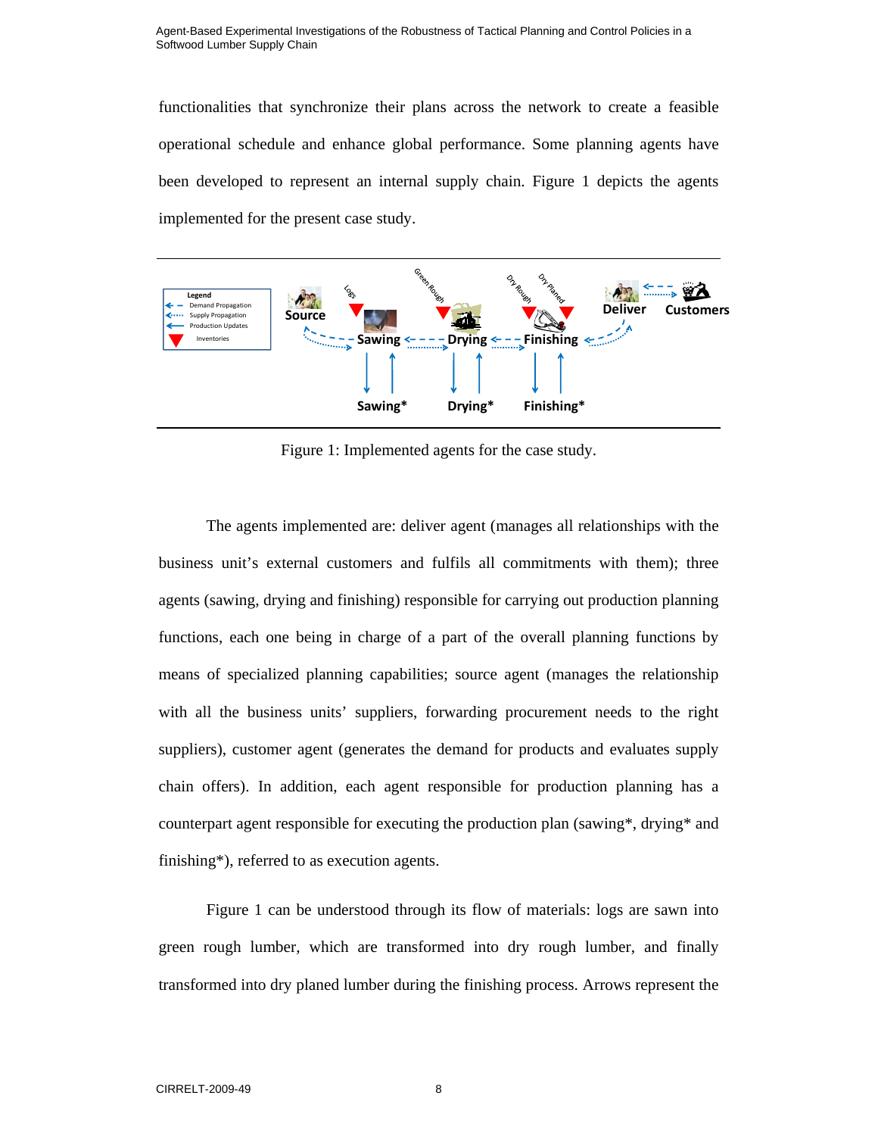functionalities that synchronize their plans across the network to create a feasible operational schedule and enhance global performance. Some planning agents have been developed to represent an internal supply chain. Figure 1 depicts the agents implemented for the present case study.



Figure 1: Implemented agents for the case study.

The agents implemented are: deliver agent (manages all relationships with the business unit's external customers and fulfils all commitments with them); three agents (sawing, drying and finishing) responsible for carrying out production planning functions, each one being in charge of a part of the overall planning functions by means of specialized planning capabilities; source agent (manages the relationship with all the business units' suppliers, forwarding procurement needs to the right suppliers), customer agent (generates the demand for products and evaluates supply chain offers). In addition, each agent responsible for production planning has a counterpart agent responsible for executing the production plan (sawing\*, drying\* and finishing\*), referred to as execution agents.

Figure 1 can be understood through its flow of materials: logs are sawn into green rough lumber, which are transformed into dry rough lumber, and finally transformed into dry planed lumber during the finishing process. Arrows represent the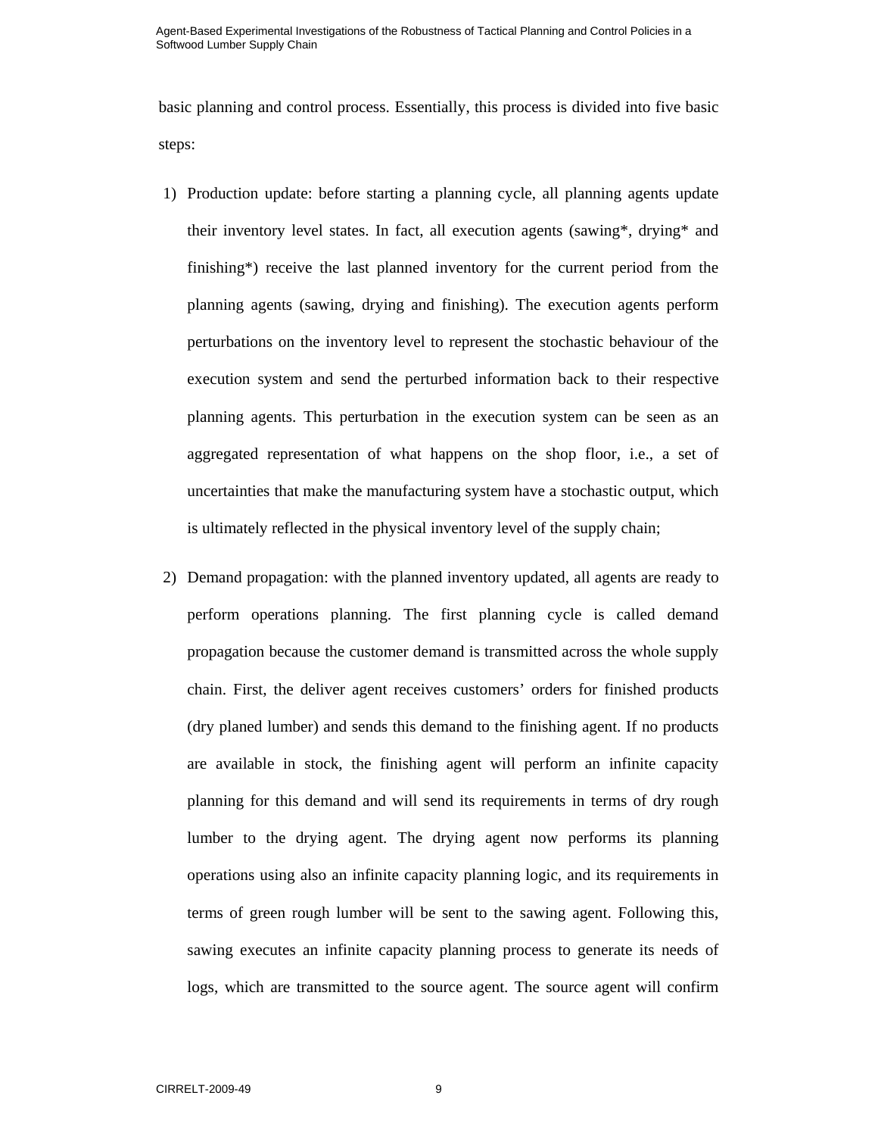basic planning and control process. Essentially, this process is divided into five basic steps:

- 1) Production update: before starting a planning cycle, all planning agents update their inventory level states. In fact, all execution agents (sawing\*, drying\* and finishing\*) receive the last planned inventory for the current period from the planning agents (sawing, drying and finishing). The execution agents perform perturbations on the inventory level to represent the stochastic behaviour of the execution system and send the perturbed information back to their respective planning agents. This perturbation in the execution system can be seen as an aggregated representation of what happens on the shop floor, i.e., a set of uncertainties that make the manufacturing system have a stochastic output, which is ultimately reflected in the physical inventory level of the supply chain;
- 2) Demand propagation: with the planned inventory updated, all agents are ready to perform operations planning. The first planning cycle is called demand propagation because the customer demand is transmitted across the whole supply chain. First, the deliver agent receives customers' orders for finished products (dry planed lumber) and sends this demand to the finishing agent. If no products are available in stock, the finishing agent will perform an infinite capacity planning for this demand and will send its requirements in terms of dry rough lumber to the drying agent. The drying agent now performs its planning operations using also an infinite capacity planning logic, and its requirements in terms of green rough lumber will be sent to the sawing agent. Following this, sawing executes an infinite capacity planning process to generate its needs of logs, which are transmitted to the source agent. The source agent will confirm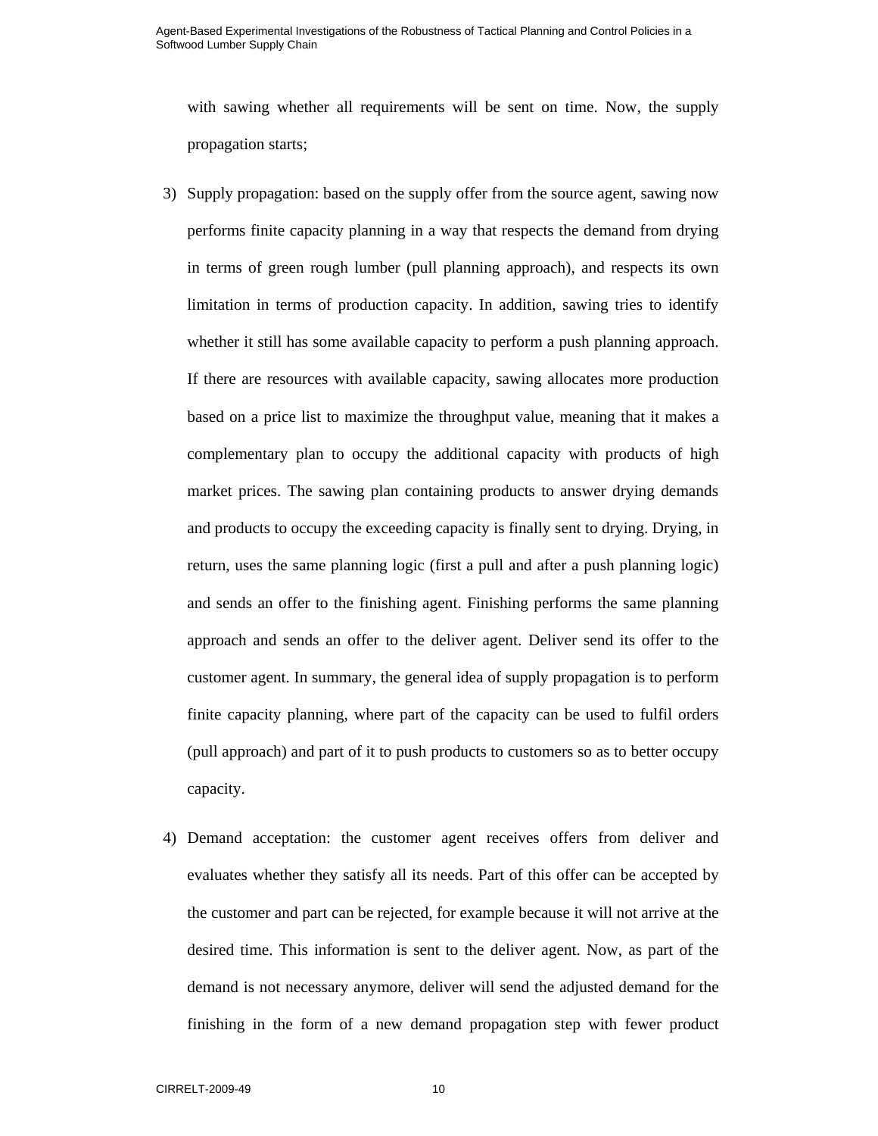with sawing whether all requirements will be sent on time. Now, the supply propagation starts;

- 3) Supply propagation: based on the supply offer from the source agent, sawing now performs finite capacity planning in a way that respects the demand from drying in terms of green rough lumber (pull planning approach), and respects its own limitation in terms of production capacity. In addition, sawing tries to identify whether it still has some available capacity to perform a push planning approach. If there are resources with available capacity, sawing allocates more production based on a price list to maximize the throughput value, meaning that it makes a complementary plan to occupy the additional capacity with products of high market prices. The sawing plan containing products to answer drying demands and products to occupy the exceeding capacity is finally sent to drying. Drying, in return, uses the same planning logic (first a pull and after a push planning logic) and sends an offer to the finishing agent. Finishing performs the same planning approach and sends an offer to the deliver agent. Deliver send its offer to the customer agent. In summary, the general idea of supply propagation is to perform finite capacity planning, where part of the capacity can be used to fulfil orders (pull approach) and part of it to push products to customers so as to better occupy capacity.
- 4) Demand acceptation: the customer agent receives offers from deliver and evaluates whether they satisfy all its needs. Part of this offer can be accepted by the customer and part can be rejected, for example because it will not arrive at the desired time. This information is sent to the deliver agent. Now, as part of the demand is not necessary anymore, deliver will send the adjusted demand for the finishing in the form of a new demand propagation step with fewer product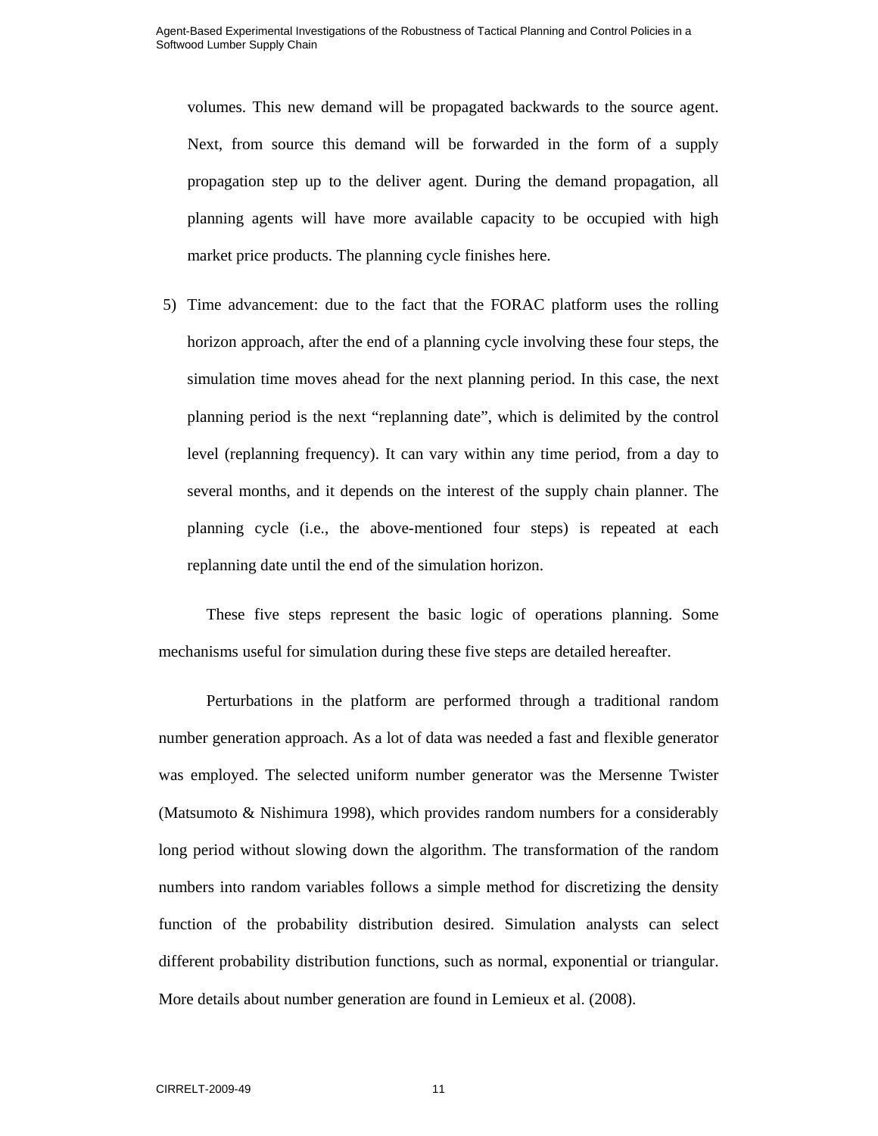volumes. This new demand will be propagated backwards to the source agent. Next, from source this demand will be forwarded in the form of a supply propagation step up to the deliver agent. During the demand propagation, all planning agents will have more available capacity to be occupied with high market price products. The planning cycle finishes here.

5) Time advancement: due to the fact that the FORAC platform uses the rolling horizon approach, after the end of a planning cycle involving these four steps, the simulation time moves ahead for the next planning period. In this case, the next planning period is the next "replanning date", which is delimited by the control level (replanning frequency). It can vary within any time period, from a day to several months, and it depends on the interest of the supply chain planner. The planning cycle (i.e., the above-mentioned four steps) is repeated at each replanning date until the end of the simulation horizon.

These five steps represent the basic logic of operations planning. Some mechanisms useful for simulation during these five steps are detailed hereafter.

Perturbations in the platform are performed through a traditional random number generation approach. As a lot of data was needed a fast and flexible generator was employed. The selected uniform number generator was the Mersenne Twister (Matsumoto & Nishimura 1998), which provides random numbers for a considerably long period without slowing down the algorithm. The transformation of the random numbers into random variables follows a simple method for discretizing the density function of the probability distribution desired. Simulation analysts can select different probability distribution functions, such as normal, exponential or triangular. More details about number generation are found in Lemieux et al. (2008).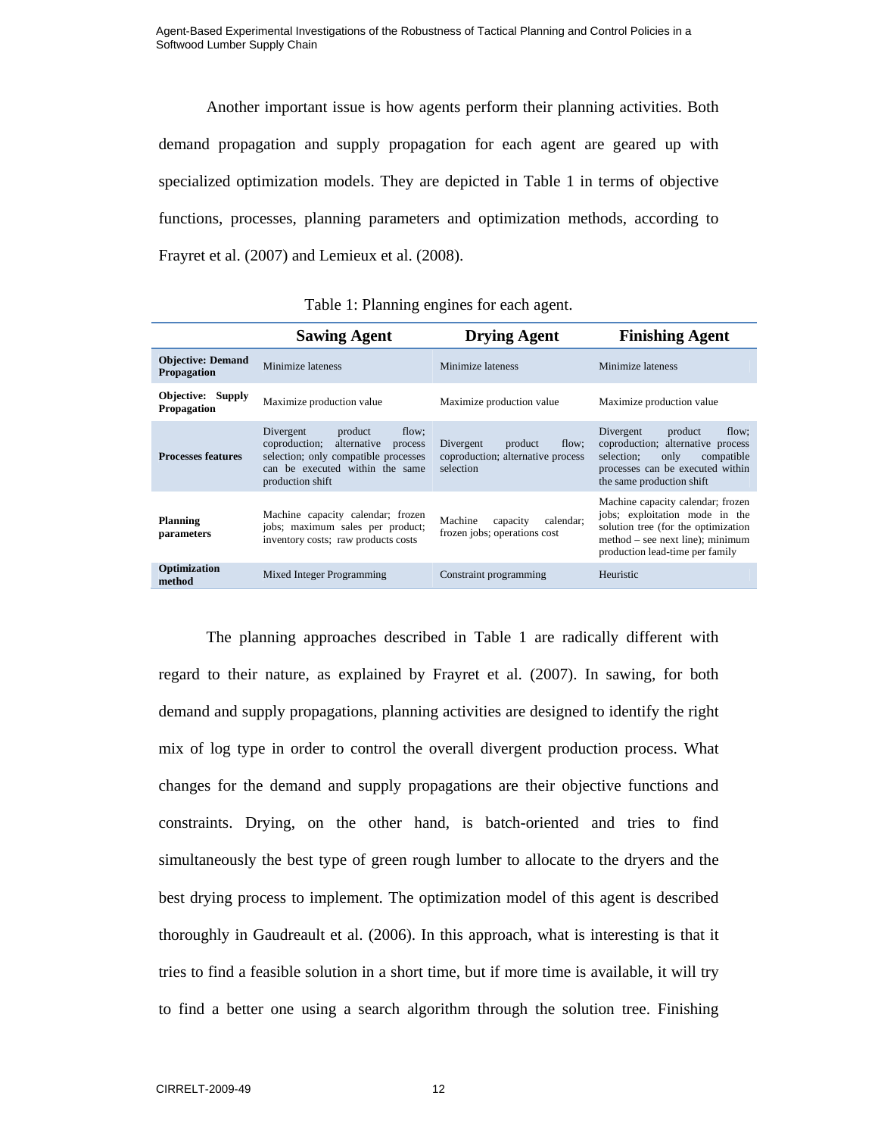Another important issue is how agents perform their planning activities. Both demand propagation and supply propagation for each agent are geared up with specialized optimization models. They are depicted in Table 1 in terms of objective functions, processes, planning parameters and optimization methods, according to Frayret et al. (2007) and Lemieux et al. (2008).

|                                                | <b>Sawing Agent</b>                                                                                                                                                  | <b>Drying Agent</b>                                                             | <b>Finishing Agent</b>                                                                                                                                                               |  |
|------------------------------------------------|----------------------------------------------------------------------------------------------------------------------------------------------------------------------|---------------------------------------------------------------------------------|--------------------------------------------------------------------------------------------------------------------------------------------------------------------------------------|--|
| <b>Objective: Demand</b><br><b>Propagation</b> | Minimize lateness                                                                                                                                                    | Minimize lateness                                                               | Minimize lateness                                                                                                                                                                    |  |
| Objective: Supply<br><b>Propagation</b>        | Maximize production value                                                                                                                                            | Maximize production value                                                       | Maximize production value                                                                                                                                                            |  |
| <b>Processes features</b>                      | Divergent<br>product<br>flow;<br>coproduction; alternative<br>process<br>selection; only compatible processes<br>can be executed within the same<br>production shift | Divergent<br>product<br>flow:<br>coproduction; alternative process<br>selection | Divergent<br>product<br>flow:<br>coproduction; alternative process<br>selection;<br>only<br>compatible<br>processes can be executed within<br>the same production shift              |  |
| <b>Planning</b><br>parameters                  | Machine capacity calendar; frozen<br>jobs; maximum sales per product;<br>inventory costs; raw products costs                                                         | Machine<br>capacity<br>calendar;<br>frozen jobs; operations cost                | Machine capacity calendar; frozen<br>jobs; exploitation mode in the<br>solution tree (for the optimization<br>$method - see next line)$ ; minimum<br>production lead-time per family |  |
| Optimization<br>method                         | Mixed Integer Programming                                                                                                                                            | Constraint programming                                                          | Heuristic                                                                                                                                                                            |  |

Table 1: Planning engines for each agent.

The planning approaches described in Table 1 are radically different with regard to their nature, as explained by Frayret et al. (2007). In sawing, for both demand and supply propagations, planning activities are designed to identify the right mix of log type in order to control the overall divergent production process. What changes for the demand and supply propagations are their objective functions and constraints. Drying, on the other hand, is batch-oriented and tries to find simultaneously the best type of green rough lumber to allocate to the dryers and the best drying process to implement. The optimization model of this agent is described thoroughly in Gaudreault et al. (2006). In this approach, what is interesting is that it tries to find a feasible solution in a short time, but if more time is available, it will try to find a better one using a search algorithm through the solution tree. Finishing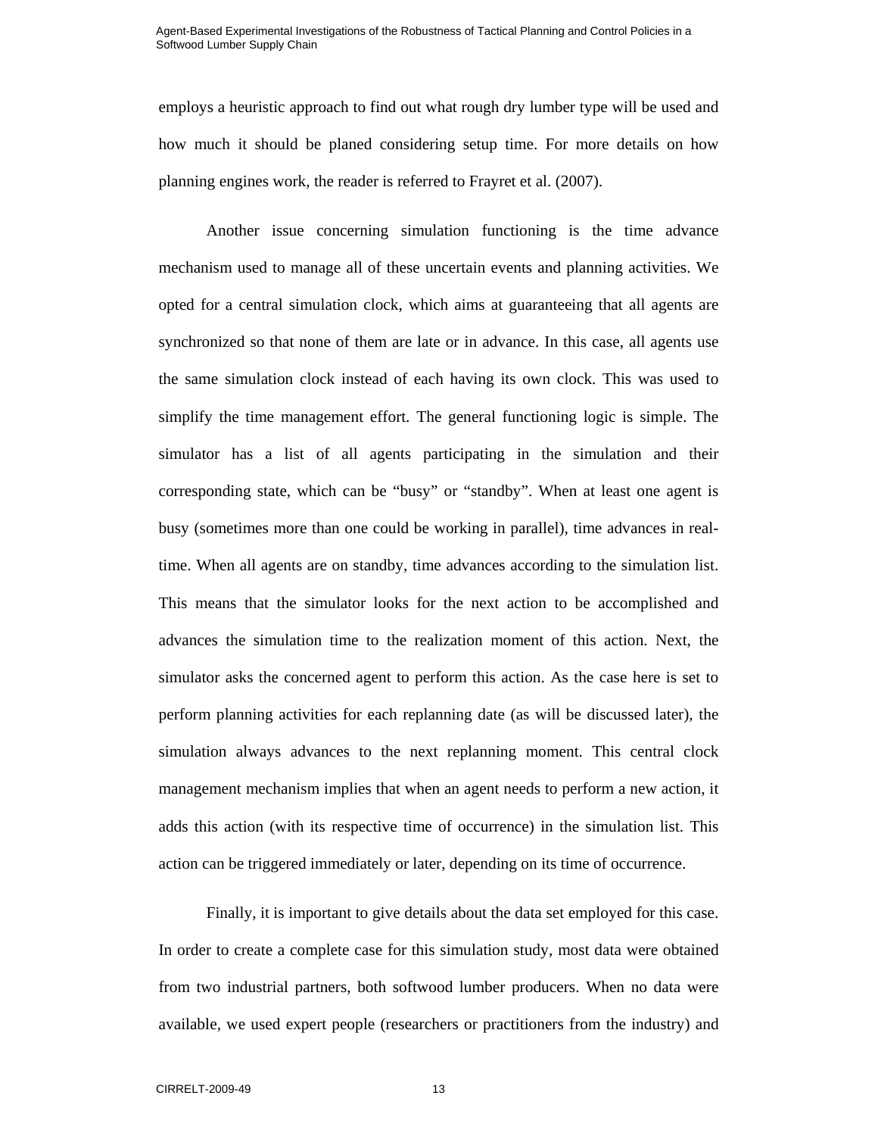employs a heuristic approach to find out what rough dry lumber type will be used and how much it should be planed considering setup time. For more details on how planning engines work, the reader is referred to Frayret et al. (2007).

Another issue concerning simulation functioning is the time advance mechanism used to manage all of these uncertain events and planning activities. We opted for a central simulation clock, which aims at guaranteeing that all agents are synchronized so that none of them are late or in advance. In this case, all agents use the same simulation clock instead of each having its own clock. This was used to simplify the time management effort. The general functioning logic is simple. The simulator has a list of all agents participating in the simulation and their corresponding state, which can be "busy" or "standby". When at least one agent is busy (sometimes more than one could be working in parallel), time advances in realtime. When all agents are on standby, time advances according to the simulation list. This means that the simulator looks for the next action to be accomplished and advances the simulation time to the realization moment of this action. Next, the simulator asks the concerned agent to perform this action. As the case here is set to perform planning activities for each replanning date (as will be discussed later), the simulation always advances to the next replanning moment. This central clock management mechanism implies that when an agent needs to perform a new action, it adds this action (with its respective time of occurrence) in the simulation list. This action can be triggered immediately or later, depending on its time of occurrence.

Finally, it is important to give details about the data set employed for this case. In order to create a complete case for this simulation study, most data were obtained from two industrial partners, both softwood lumber producers. When no data were available, we used expert people (researchers or practitioners from the industry) and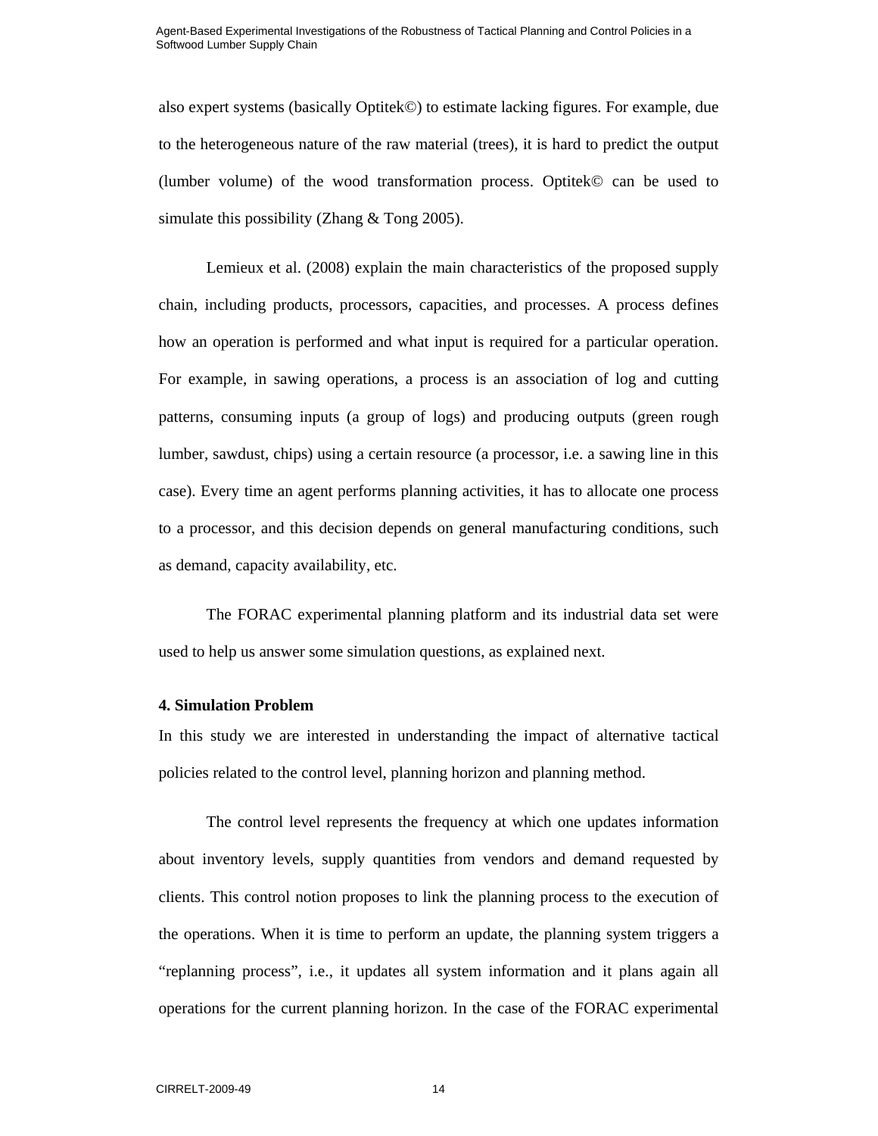also expert systems (basically Optitek©) to estimate lacking figures. For example, due to the heterogeneous nature of the raw material (trees), it is hard to predict the output (lumber volume) of the wood transformation process. Optitek© can be used to simulate this possibility (Zhang & Tong 2005).

Lemieux et al. (2008) explain the main characteristics of the proposed supply chain, including products, processors, capacities, and processes. A process defines how an operation is performed and what input is required for a particular operation. For example, in sawing operations, a process is an association of log and cutting patterns, consuming inputs (a group of logs) and producing outputs (green rough lumber, sawdust, chips) using a certain resource (a processor, i.e. a sawing line in this case). Every time an agent performs planning activities, it has to allocate one process to a processor, and this decision depends on general manufacturing conditions, such as demand, capacity availability, etc.

The FORAC experimental planning platform and its industrial data set were used to help us answer some simulation questions, as explained next.

### **4. Simulation Problem**

In this study we are interested in understanding the impact of alternative tactical policies related to the control level, planning horizon and planning method.

The control level represents the frequency at which one updates information about inventory levels, supply quantities from vendors and demand requested by clients. This control notion proposes to link the planning process to the execution of the operations. When it is time to perform an update, the planning system triggers a "replanning process", i.e., it updates all system information and it plans again all operations for the current planning horizon. In the case of the FORAC experimental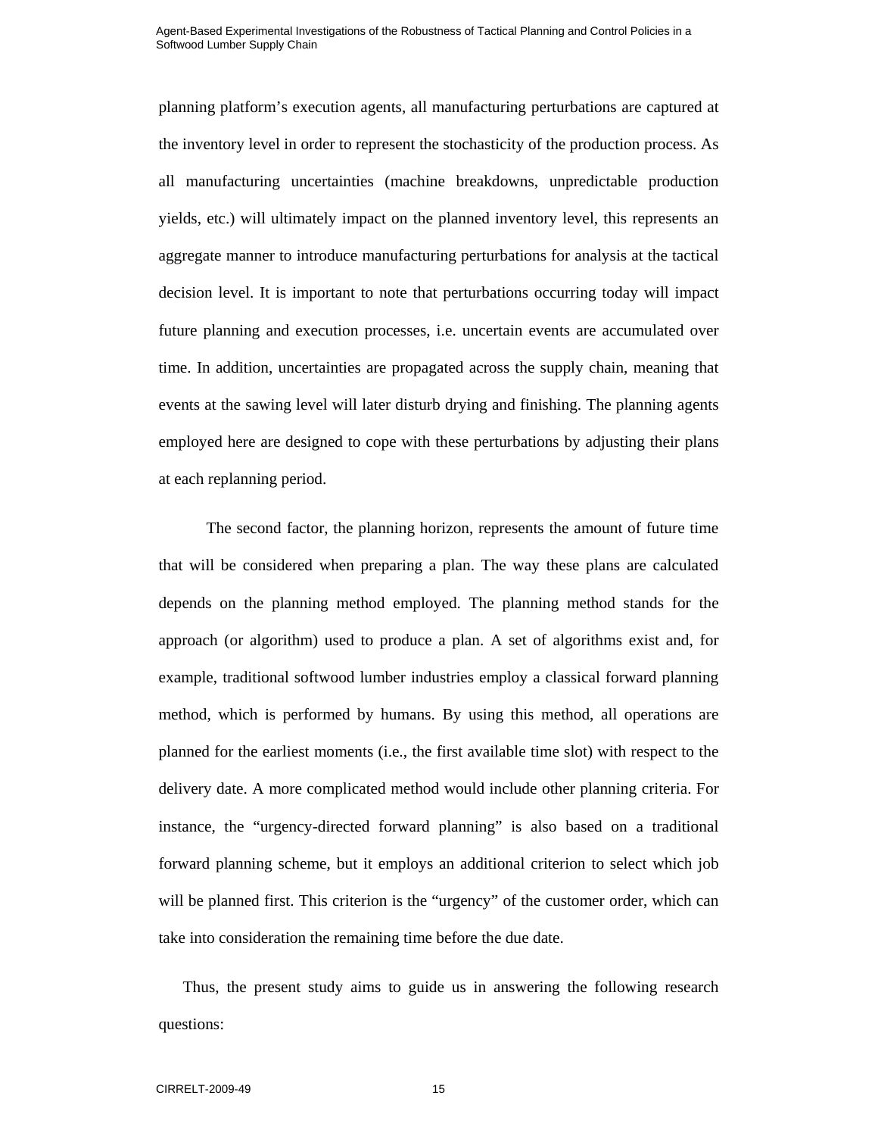planning platform's execution agents, all manufacturing perturbations are captured at the inventory level in order to represent the stochasticity of the production process. As all manufacturing uncertainties (machine breakdowns, unpredictable production yields, etc.) will ultimately impact on the planned inventory level, this represents an aggregate manner to introduce manufacturing perturbations for analysis at the tactical decision level. It is important to note that perturbations occurring today will impact future planning and execution processes, i.e. uncertain events are accumulated over time. In addition, uncertainties are propagated across the supply chain, meaning that events at the sawing level will later disturb drying and finishing. The planning agents employed here are designed to cope with these perturbations by adjusting their plans at each replanning period.

The second factor, the planning horizon, represents the amount of future time that will be considered when preparing a plan. The way these plans are calculated depends on the planning method employed. The planning method stands for the approach (or algorithm) used to produce a plan. A set of algorithms exist and, for example, traditional softwood lumber industries employ a classical forward planning method, which is performed by humans. By using this method, all operations are planned for the earliest moments (i.e., the first available time slot) with respect to the delivery date. A more complicated method would include other planning criteria. For instance, the "urgency-directed forward planning" is also based on a traditional forward planning scheme, but it employs an additional criterion to select which job will be planned first. This criterion is the "urgency" of the customer order, which can take into consideration the remaining time before the due date.

Thus, the present study aims to guide us in answering the following research questions: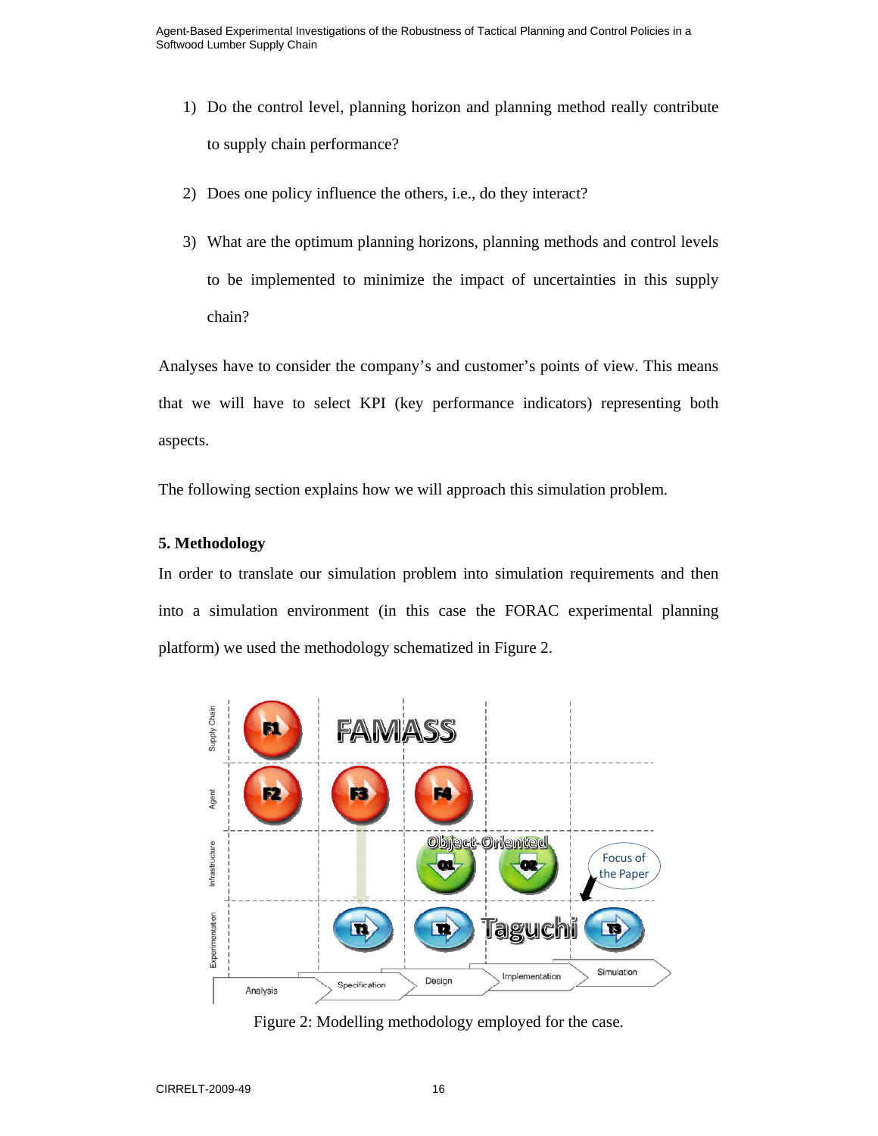- 1) Do the control level, planning horizon and planning method really contribute to supply chain performance?
- 2) Does one policy influence the others, i.e., do they interact?
- 3) What are the optimum planning horizons, planning methods and control levels to be implemented to minimize the impact of uncertainties in this supply chain?

Analyses have to consider the company's and customer's points of view. This means that we will have to select KPI (key performance indicators) representing both aspects.

The following section explains how we will approach this simulation problem.

# **5. Methodology**

In order to translate our simulation problem into simulation requirements and then into a simulation environment (in this case the FORAC experimental planning platform) we used the methodology schematized in Figure 2.



Figure 2: Modelling methodology employed for the case.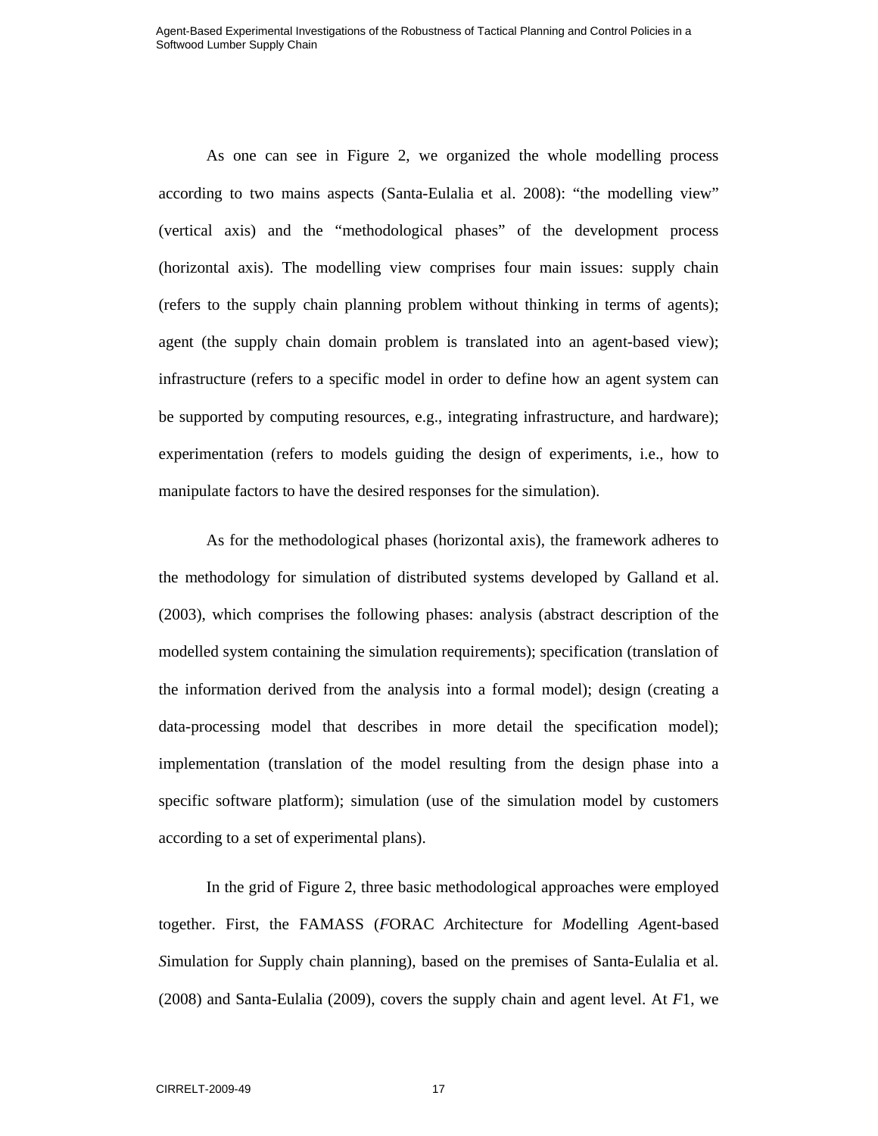As one can see in Figure 2, we organized the whole modelling process according to two mains aspects (Santa-Eulalia et al. 2008): "the modelling view" (vertical axis) and the "methodological phases" of the development process (horizontal axis). The modelling view comprises four main issues: supply chain (refers to the supply chain planning problem without thinking in terms of agents); agent (the supply chain domain problem is translated into an agent-based view); infrastructure (refers to a specific model in order to define how an agent system can be supported by computing resources, e.g., integrating infrastructure, and hardware); experimentation (refers to models guiding the design of experiments, i.e., how to manipulate factors to have the desired responses for the simulation).

As for the methodological phases (horizontal axis), the framework adheres to the methodology for simulation of distributed systems developed by Galland et al. (2003), which comprises the following phases: analysis (abstract description of the modelled system containing the simulation requirements); specification (translation of the information derived from the analysis into a formal model); design (creating a data-processing model that describes in more detail the specification model); implementation (translation of the model resulting from the design phase into a specific software platform); simulation (use of the simulation model by customers according to a set of experimental plans).

In the grid of Figure 2, three basic methodological approaches were employed together. First, the FAMASS (*F*ORAC *A*rchitecture for *M*odelling *A*gent-based *S*imulation for *S*upply chain planning), based on the premises of Santa-Eulalia et al. (2008) and Santa-Eulalia (2009), covers the supply chain and agent level. At *F*1, we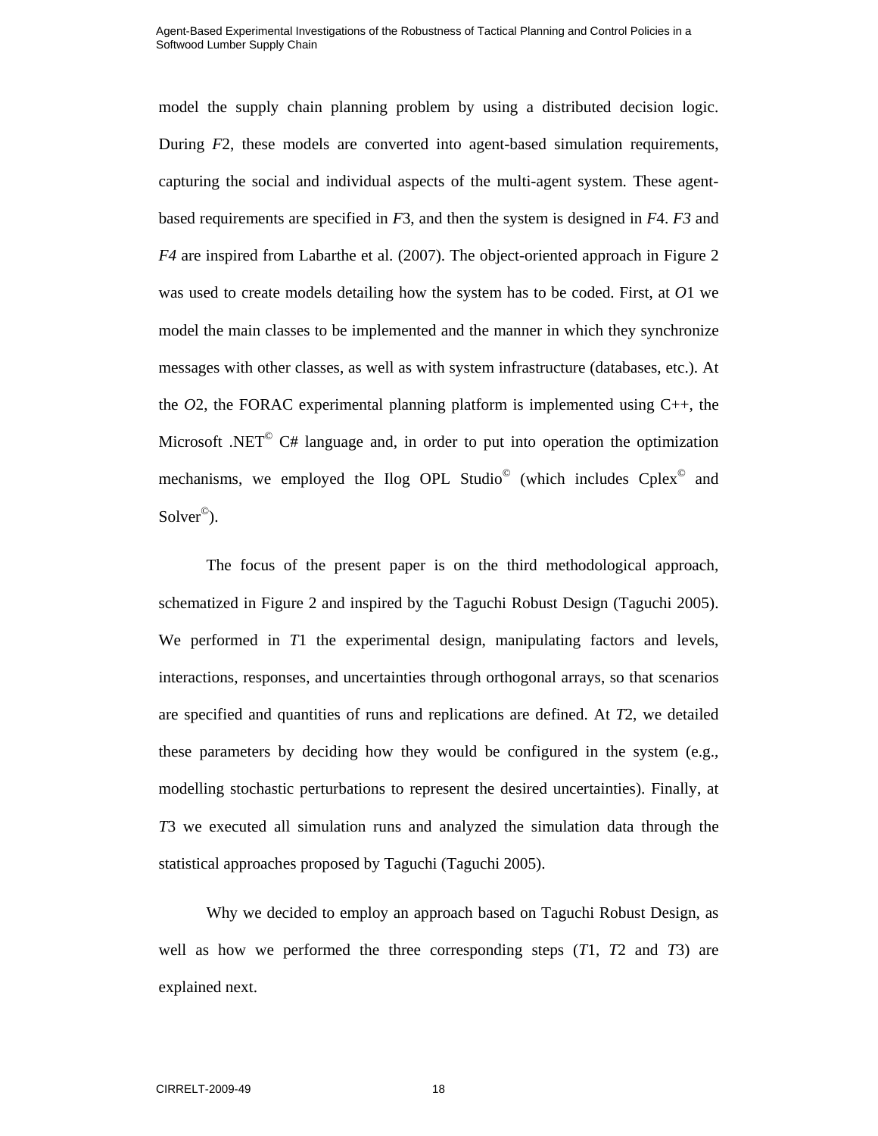model the supply chain planning problem by using a distributed decision logic. During *F*2, these models are converted into agent-based simulation requirements, capturing the social and individual aspects of the multi-agent system. These agentbased requirements are specified in *F*3, and then the system is designed in *F*4. *F3* and *F4* are inspired from Labarthe et al. (2007). The object-oriented approach in Figure 2 was used to create models detailing how the system has to be coded. First, at *O*1 we model the main classes to be implemented and the manner in which they synchronize messages with other classes, as well as with system infrastructure (databases, etc.). At the  $O2$ , the FORAC experimental planning platform is implemented using  $C_{++}$ , the Microsoft .NET<sup>©</sup>  $C#$  language and, in order to put into operation the optimization mechanisms, we employed the Ilog OPL Studio<sup> $\circ$ </sup> (which includes Cplex $\circ$  and Solver<sup>©</sup>).

The focus of the present paper is on the third methodological approach, schematized in Figure 2 and inspired by the Taguchi Robust Design (Taguchi 2005). We performed in *T*1 the experimental design, manipulating factors and levels, interactions, responses, and uncertainties through orthogonal arrays, so that scenarios are specified and quantities of runs and replications are defined. At *T*2, we detailed these parameters by deciding how they would be configured in the system (e.g., modelling stochastic perturbations to represent the desired uncertainties). Finally, at *T*3 we executed all simulation runs and analyzed the simulation data through the statistical approaches proposed by Taguchi (Taguchi 2005).

Why we decided to employ an approach based on Taguchi Robust Design, as well as how we performed the three corresponding steps (*T*1, *T*2 and *T*3) are explained next.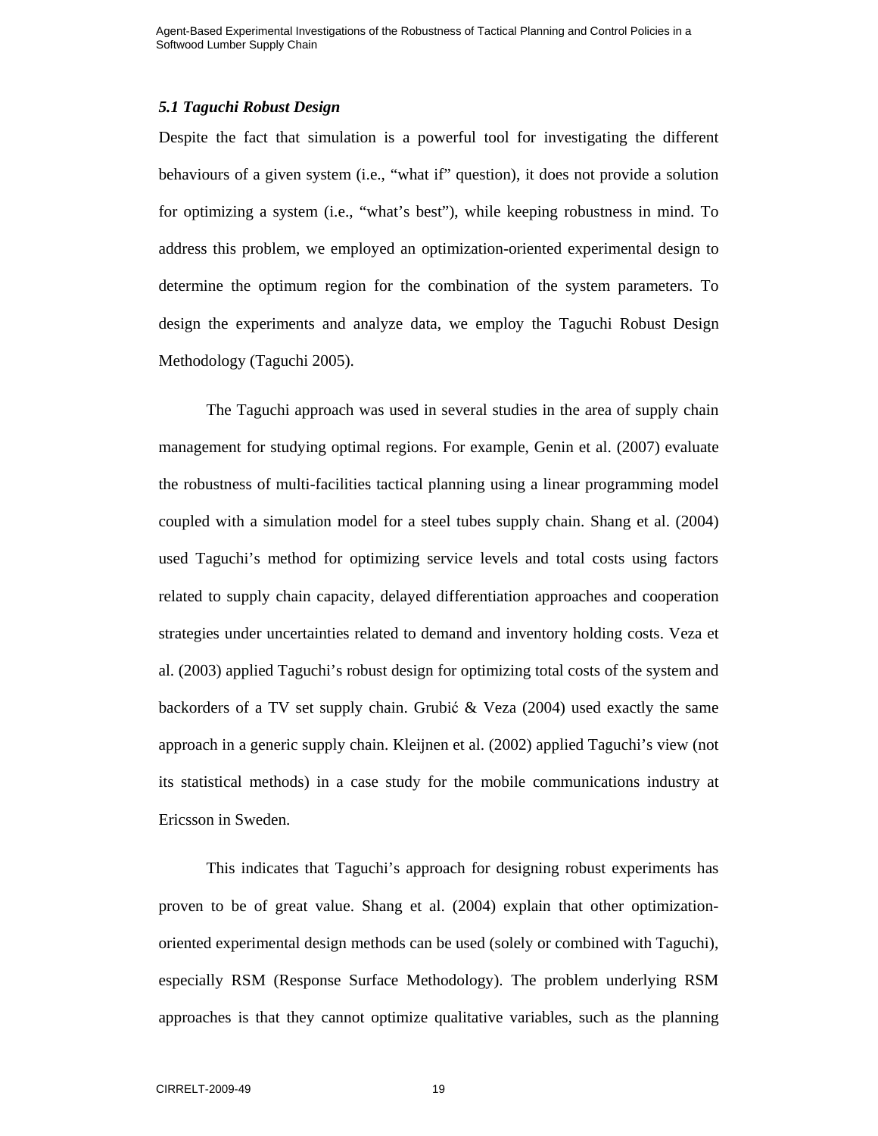# *5.1 Taguchi Robust Design*

Despite the fact that simulation is a powerful tool for investigating the different behaviours of a given system (i.e., "what if" question), it does not provide a solution for optimizing a system (i.e., "what's best"), while keeping robustness in mind. To address this problem, we employed an optimization-oriented experimental design to determine the optimum region for the combination of the system parameters. To design the experiments and analyze data, we employ the Taguchi Robust Design Methodology (Taguchi 2005).

The Taguchi approach was used in several studies in the area of supply chain management for studying optimal regions. For example, Genin et al. (2007) evaluate the robustness of multi-facilities tactical planning using a linear programming model coupled with a simulation model for a steel tubes supply chain. Shang et al. (2004) used Taguchi's method for optimizing service levels and total costs using factors related to supply chain capacity, delayed differentiation approaches and cooperation strategies under uncertainties related to demand and inventory holding costs. Veza et al. (2003) applied Taguchi's robust design for optimizing total costs of the system and backorders of a TV set supply chain. Grubić & Veza (2004) used exactly the same approach in a generic supply chain. Kleijnen et al. (2002) applied Taguchi's view (not its statistical methods) in a case study for the mobile communications industry at Ericsson in Sweden.

This indicates that Taguchi's approach for designing robust experiments has proven to be of great value. Shang et al. (2004) explain that other optimizationoriented experimental design methods can be used (solely or combined with Taguchi), especially RSM (Response Surface Methodology). The problem underlying RSM approaches is that they cannot optimize qualitative variables, such as the planning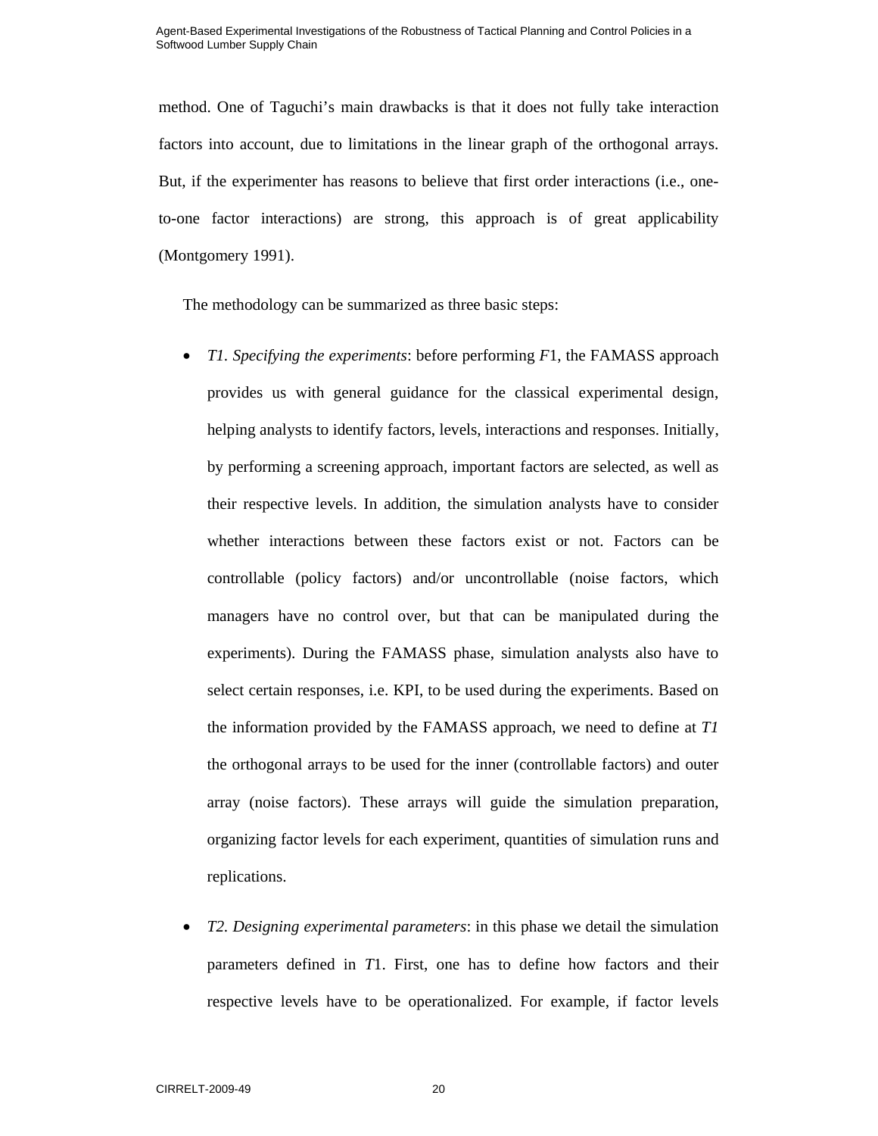method. One of Taguchi's main drawbacks is that it does not fully take interaction factors into account, due to limitations in the linear graph of the orthogonal arrays. But, if the experimenter has reasons to believe that first order interactions (i.e., oneto-one factor interactions) are strong, this approach is of great applicability (Montgomery 1991).

The methodology can be summarized as three basic steps:

- *T1. Specifying the experiments*: before performing *F*1, the FAMASS approach provides us with general guidance for the classical experimental design, helping analysts to identify factors, levels, interactions and responses. Initially, by performing a screening approach, important factors are selected, as well as their respective levels. In addition, the simulation analysts have to consider whether interactions between these factors exist or not. Factors can be controllable (policy factors) and/or uncontrollable (noise factors, which managers have no control over, but that can be manipulated during the experiments). During the FAMASS phase, simulation analysts also have to select certain responses, i.e. KPI, to be used during the experiments. Based on the information provided by the FAMASS approach, we need to define at *T1* the orthogonal arrays to be used for the inner (controllable factors) and outer array (noise factors). These arrays will guide the simulation preparation, organizing factor levels for each experiment, quantities of simulation runs and replications.
- *T2. Designing experimental parameters*: in this phase we detail the simulation parameters defined in *T*1. First, one has to define how factors and their respective levels have to be operationalized. For example, if factor levels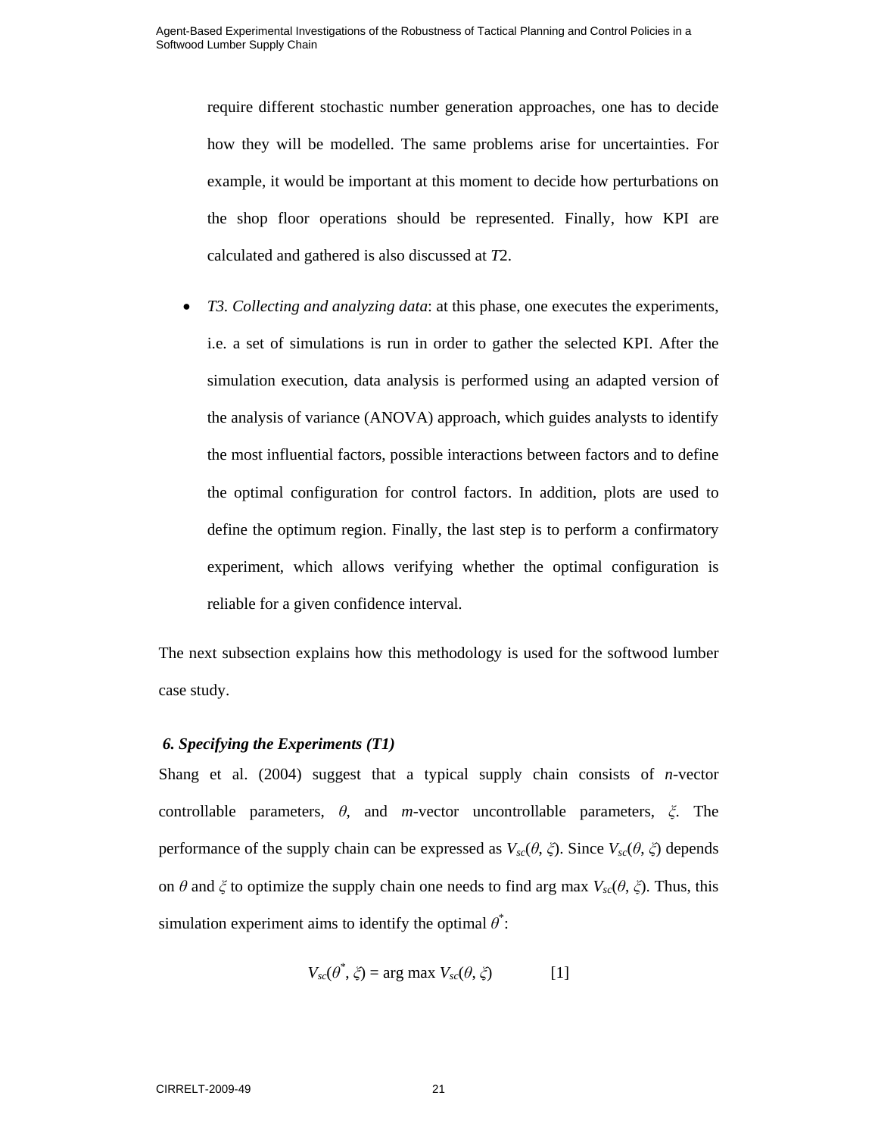require different stochastic number generation approaches, one has to decide how they will be modelled. The same problems arise for uncertainties. For example, it would be important at this moment to decide how perturbations on the shop floor operations should be represented. Finally, how KPI are calculated and gathered is also discussed at *T*2.

• *T3. Collecting and analyzing data*: at this phase, one executes the experiments, i.e. a set of simulations is run in order to gather the selected KPI. After the simulation execution, data analysis is performed using an adapted version of the analysis of variance (ANOVA) approach, which guides analysts to identify the most influential factors, possible interactions between factors and to define the optimal configuration for control factors. In addition, plots are used to define the optimum region. Finally, the last step is to perform a confirmatory experiment, which allows verifying whether the optimal configuration is reliable for a given confidence interval.

The next subsection explains how this methodology is used for the softwood lumber case study.

# *6. Specifying the Experiments (T1)*

Shang et al. (2004) suggest that a typical supply chain consists of *n*-vector controllable parameters, *θ*, and *m*-vector uncontrollable parameters, *ξ*. The performance of the supply chain can be expressed as  $V_{sc}(\theta, \zeta)$ . Since  $V_{sc}(\theta, \zeta)$  depends on  $\theta$  and  $\zeta$  to optimize the supply chain one needs to find arg max  $V_{sc}(\theta, \zeta)$ . Thus, this simulation experiment aims to identify the optimal  $\theta^*$ :

$$
V_{sc}(\theta^*, \zeta) = \arg \max V_{sc}(\theta, \zeta) \tag{1}
$$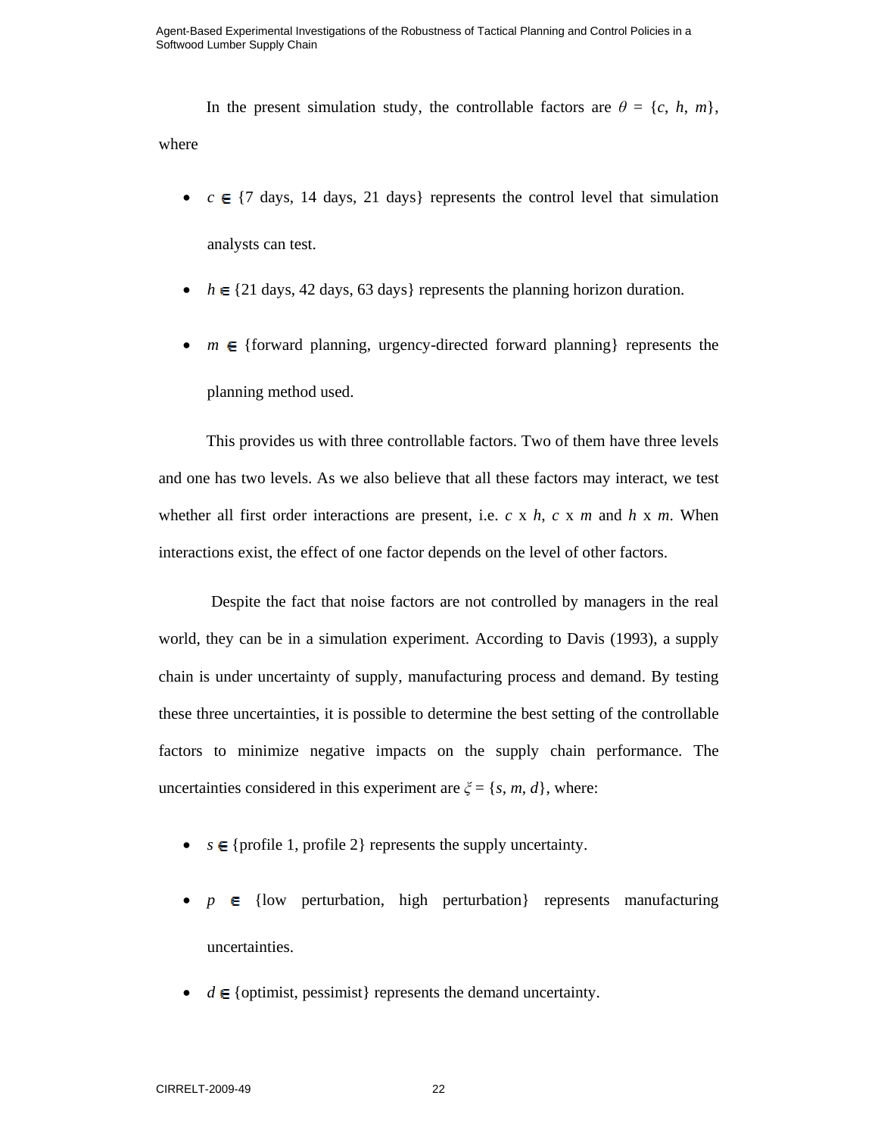In the present simulation study, the controllable factors are  $\theta = \{c, h, m\}$ , where

- $c \in \{7 \text{ days}, 14 \text{ days}, 21 \text{ days}\}$  represents the control level that simulation analysts can test.
- $h \in \{21 \text{ days}, 42 \text{ days}, 63 \text{ days}\}\$  represents the planning horizon duration.
- $m \in \{forward \; planning, \;urgery-directed \; forward \; planning\}$  represents the planning method used.

This provides us with three controllable factors. Two of them have three levels and one has two levels. As we also believe that all these factors may interact, we test whether all first order interactions are present, i.e. *c* x *h*, *c* x *m* and *h* x *m*. When interactions exist, the effect of one factor depends on the level of other factors.

 Despite the fact that noise factors are not controlled by managers in the real world, they can be in a simulation experiment. According to Davis (1993), a supply chain is under uncertainty of supply, manufacturing process and demand. By testing these three uncertainties, it is possible to determine the best setting of the controllable factors to minimize negative impacts on the supply chain performance. The uncertainties considered in this experiment are  $\xi = \{s, m, d\}$ , where:

- $s \in$  {profile 1, profile 2} represents the supply uncertainty.
- $p \in$  {low perturbation, high perturbation} represents manufacturing uncertainties.
- $d \in$  {optimist, pessimist} represents the demand uncertainty.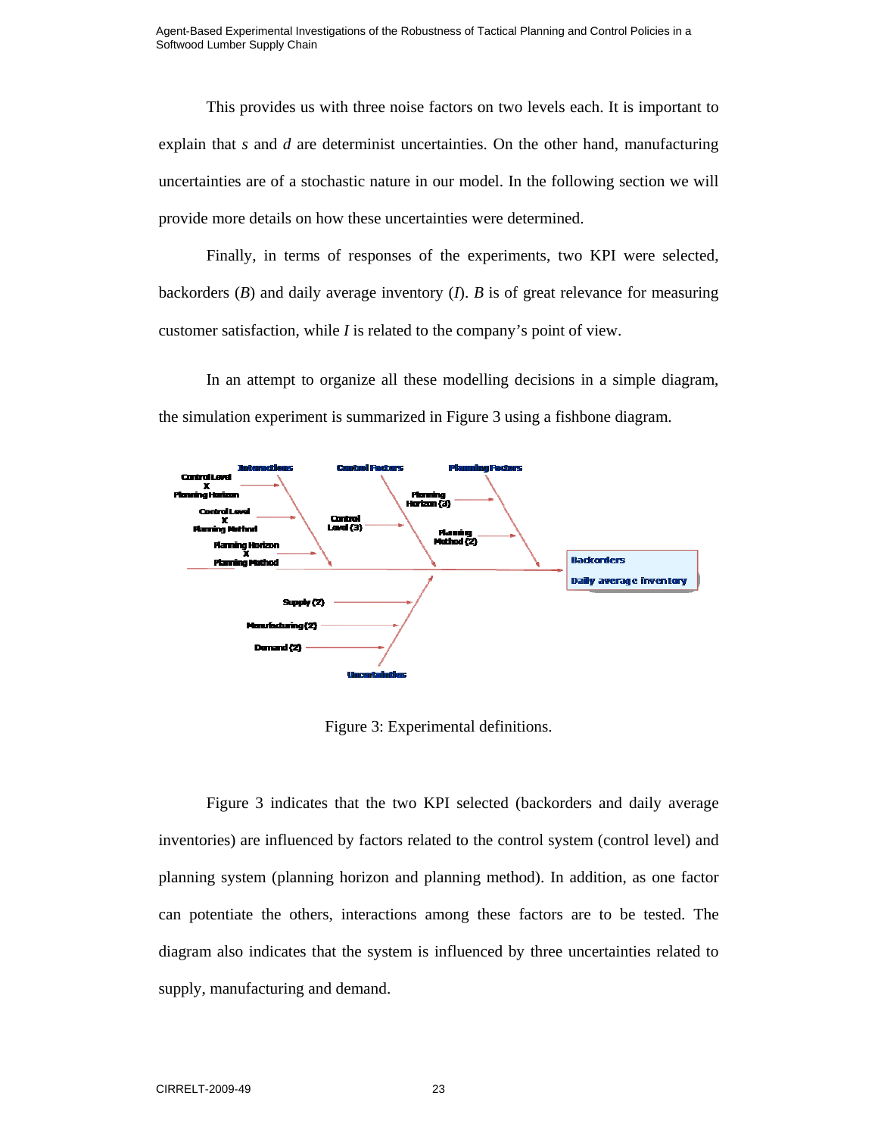This provides us with three noise factors on two levels each. It is important to explain that *s* and *d* are determinist uncertainties. On the other hand, manufacturing uncertainties are of a stochastic nature in our model. In the following section we will provide more details on how these uncertainties were determined.

Finally, in terms of responses of the experiments, two KPI were selected, backorders (*B*) and daily average inventory (*I*). *B* is of great relevance for measuring customer satisfaction, while *I* is related to the company's point of view.

In an attempt to organize all these modelling decisions in a simple diagram, the simulation experiment is summarized in Figure 3 using a fishbone diagram.



Figure 3: Experimental definitions.

Figure 3 indicates that the two KPI selected (backorders and daily average inventories) are influenced by factors related to the control system (control level) and planning system (planning horizon and planning method). In addition, as one factor can potentiate the others, interactions among these factors are to be tested. The diagram also indicates that the system is influenced by three uncertainties related to supply, manufacturing and demand.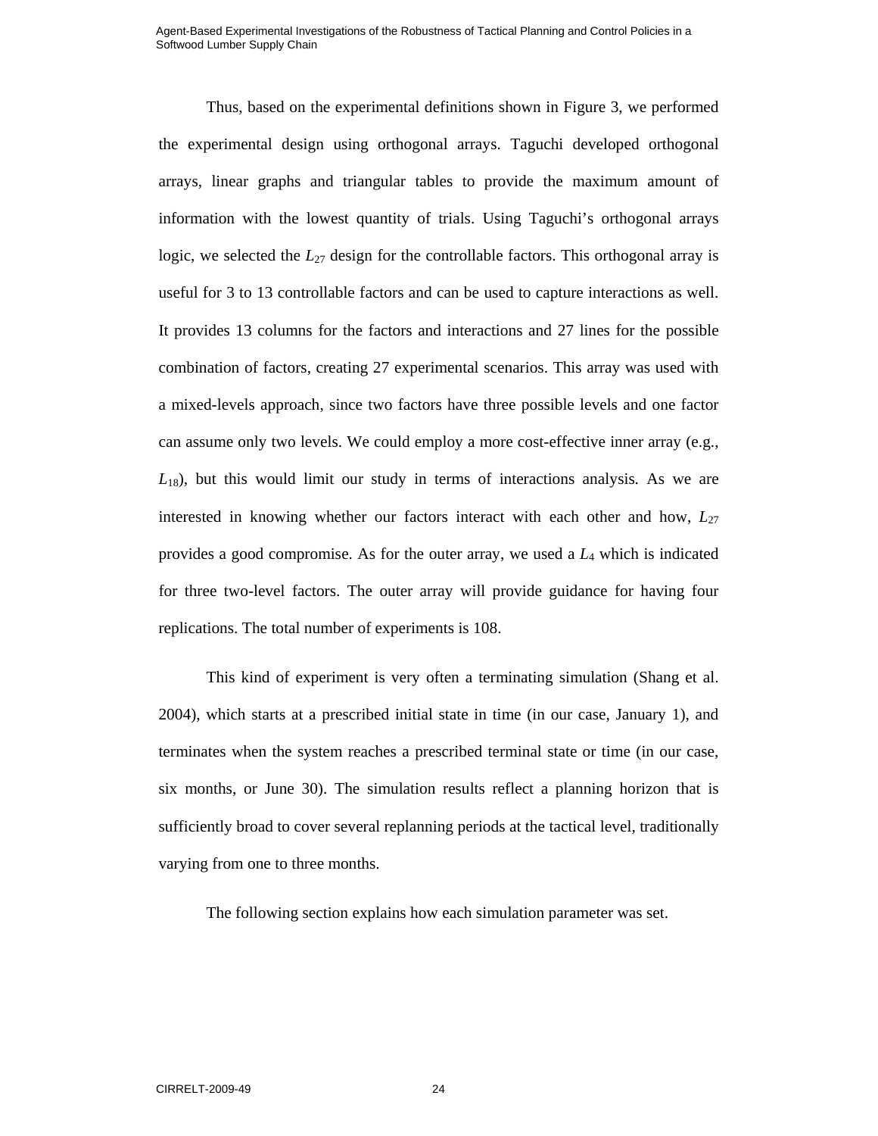Thus, based on the experimental definitions shown in Figure 3, we performed the experimental design using orthogonal arrays. Taguchi developed orthogonal arrays, linear graphs and triangular tables to provide the maximum amount of information with the lowest quantity of trials. Using Taguchi's orthogonal arrays logic, we selected the  $L_{27}$  design for the controllable factors. This orthogonal array is useful for 3 to 13 controllable factors and can be used to capture interactions as well. It provides 13 columns for the factors and interactions and 27 lines for the possible combination of factors, creating 27 experimental scenarios. This array was used with a mixed-levels approach, since two factors have three possible levels and one factor can assume only two levels. We could employ a more cost-effective inner array (e.g.,  $L_{18}$ ), but this would limit our study in terms of interactions analysis. As we are interested in knowing whether our factors interact with each other and how,  $L_{27}$ provides a good compromise. As for the outer array, we used a *L*4 which is indicated for three two-level factors. The outer array will provide guidance for having four replications. The total number of experiments is 108.

This kind of experiment is very often a terminating simulation (Shang et al. 2004), which starts at a prescribed initial state in time (in our case, January 1), and terminates when the system reaches a prescribed terminal state or time (in our case, six months, or June 30). The simulation results reflect a planning horizon that is sufficiently broad to cover several replanning periods at the tactical level, traditionally varying from one to three months.

The following section explains how each simulation parameter was set.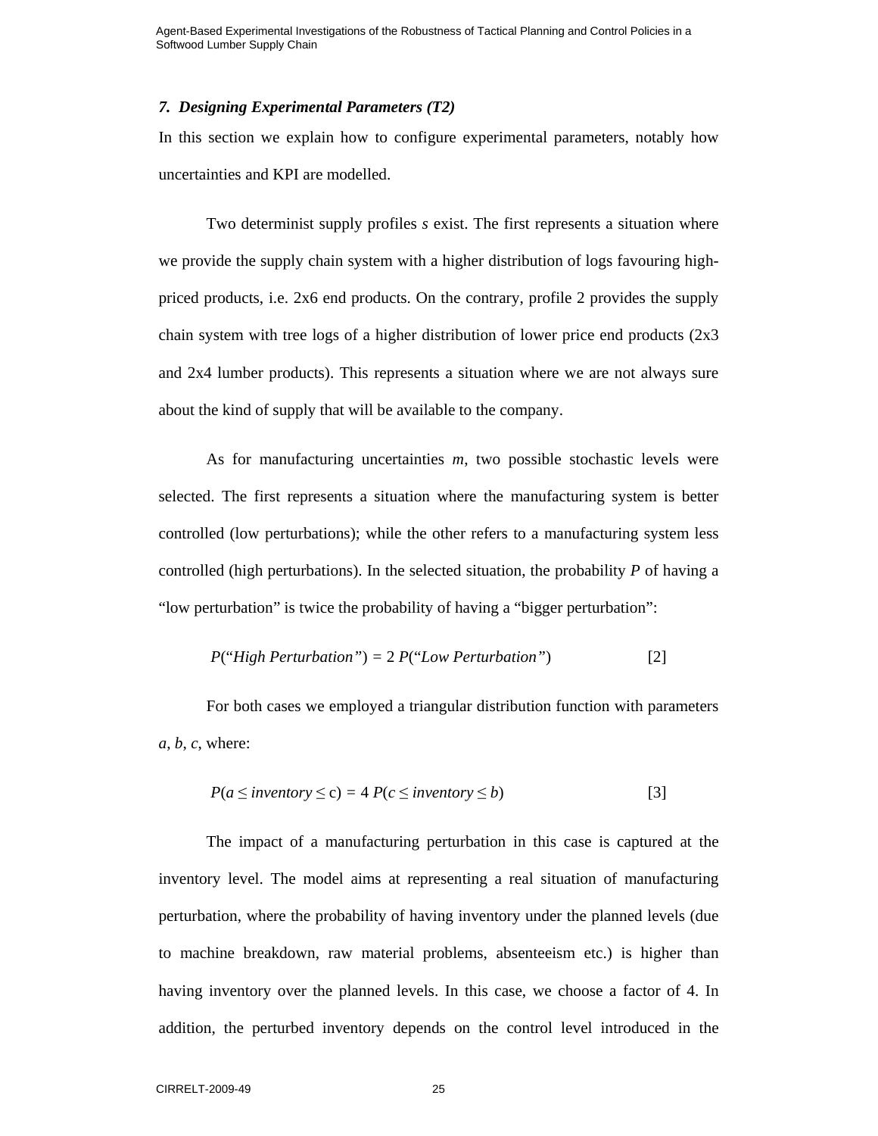## *7. Designing Experimental Parameters (T2)*

In this section we explain how to configure experimental parameters, notably how uncertainties and KPI are modelled.

Two determinist supply profiles *s* exist. The first represents a situation where we provide the supply chain system with a higher distribution of logs favouring highpriced products, i.e. 2x6 end products. On the contrary, profile 2 provides the supply chain system with tree logs of a higher distribution of lower price end products  $(2x3)$ and 2x4 lumber products). This represents a situation where we are not always sure about the kind of supply that will be available to the company.

As for manufacturing uncertainties *m*, two possible stochastic levels were selected. The first represents a situation where the manufacturing system is better controlled (low perturbations); while the other refers to a manufacturing system less controlled (high perturbations). In the selected situation, the probability *P* of having a "low perturbation" is twice the probability of having a "bigger perturbation":

$$
P("High Perturbation") = 2 P("Low Perturbation")
$$
 [2]

For both cases we employed a triangular distribution function with parameters *a*, *b*, *c*, where:

$$
P(a \leq \text{inventory} \leq c) = 4 \ P(c \leq \text{inventory} \leq b)
$$
 [3]

The impact of a manufacturing perturbation in this case is captured at the inventory level. The model aims at representing a real situation of manufacturing perturbation, where the probability of having inventory under the planned levels (due to machine breakdown, raw material problems, absenteeism etc.) is higher than having inventory over the planned levels. In this case, we choose a factor of 4. In addition, the perturbed inventory depends on the control level introduced in the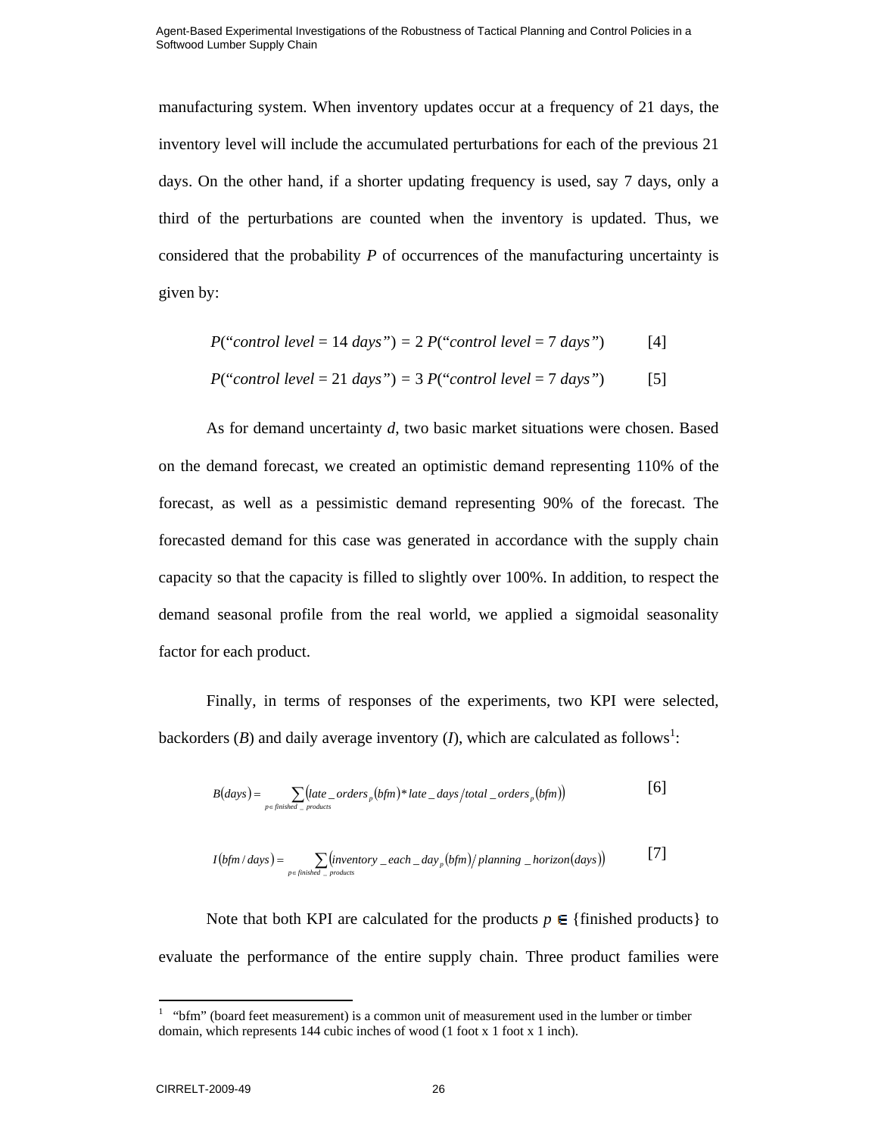manufacturing system. When inventory updates occur at a frequency of 21 days, the inventory level will include the accumulated perturbations for each of the previous 21 days. On the other hand, if a shorter updating frequency is used, say 7 days, only a third of the perturbations are counted when the inventory is updated. Thus, we considered that the probability *P* of occurrences of the manufacturing uncertainty is given by:

$$
P("control level = 14 days") = 2 P("control level = 7 days")
$$
 [4]  

$$
P("control level = 21 days") = 3 P("control level = 7 days")
$$
 [5]

As for demand uncertainty *d*, two basic market situations were chosen. Based on the demand forecast, we created an optimistic demand representing 110% of the forecast, as well as a pessimistic demand representing 90% of the forecast. The forecasted demand for this case was generated in accordance with the supply chain capacity so that the capacity is filled to slightly over 100%. In addition, to respect the demand seasonal profile from the real world, we applied a sigmoidal seasonality factor for each product.

Finally, in terms of responses of the experiments, two KPI were selected, backorders  $(B)$  and daily average inventory  $(I)$ , which are calculated as follows<sup>1</sup>:

$$
B(days) = \sum_{p \in \text{finished\_products}} (late\_orders_p(bfm)^* late\_days/total\_orders_p(bfm))
$$
 [6]

$$
I(bfm/days) = \sum_{p \in \text{finite}d\_product} (inventory\_each\_day_p(bfm)/planning\_horizon(days))
$$
 [7]

Note that both KPI are calculated for the products  $p \in \{\text{finished products}\}\)$  to evaluate the performance of the entire supply chain. Three product families were

 $\overline{\phantom{a}}$ 

 $1$  "bfm" (board feet measurement) is a common unit of measurement used in the lumber or timber domain, which represents 144 cubic inches of wood (1 foot x 1 foot x 1 inch).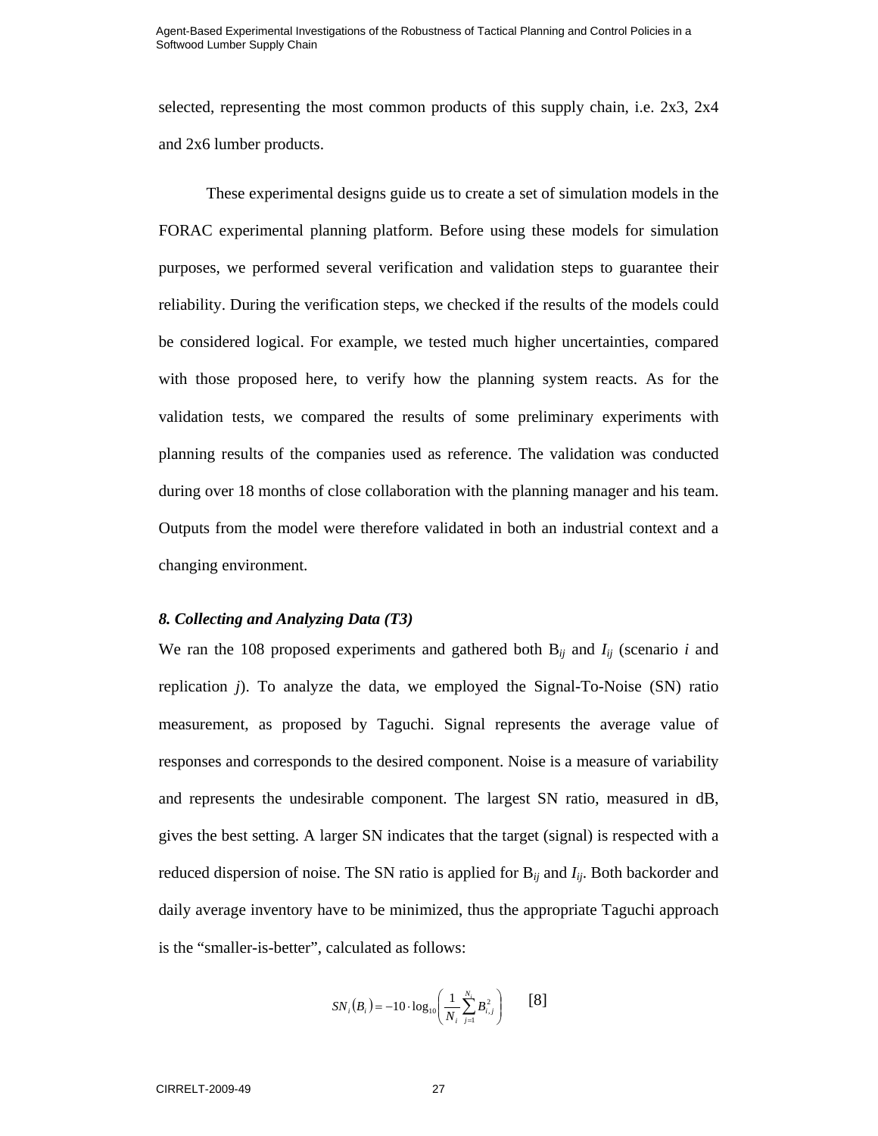selected, representing the most common products of this supply chain, i.e. 2x3, 2x4 and 2x6 lumber products.

These experimental designs guide us to create a set of simulation models in the FORAC experimental planning platform. Before using these models for simulation purposes, we performed several verification and validation steps to guarantee their reliability. During the verification steps, we checked if the results of the models could be considered logical. For example, we tested much higher uncertainties, compared with those proposed here, to verify how the planning system reacts. As for the validation tests, we compared the results of some preliminary experiments with planning results of the companies used as reference. The validation was conducted during over 18 months of close collaboration with the planning manager and his team. Outputs from the model were therefore validated in both an industrial context and a changing environment.

### *8. Collecting and Analyzing Data (T3)*

We ran the 108 proposed experiments and gathered both  $B_{ij}$  and  $I_{ij}$  (scenario *i* and replication *j*). To analyze the data, we employed the Signal-To-Noise (SN) ratio measurement, as proposed by Taguchi. Signal represents the average value of responses and corresponds to the desired component. Noise is a measure of variability and represents the undesirable component. The largest SN ratio, measured in dB, gives the best setting. A larger SN indicates that the target (signal) is respected with a reduced dispersion of noise. The SN ratio is applied for B*ij* and *Iij*. Both backorder and daily average inventory have to be minimized, thus the appropriate Taguchi approach is the "smaller-is-better", calculated as follows:

$$
SN_i(B_i) = -10 \cdot \log_{10} \left( \frac{1}{N_i} \sum_{j=1}^{N_i} B_{i,j}^2 \right) \qquad [8]
$$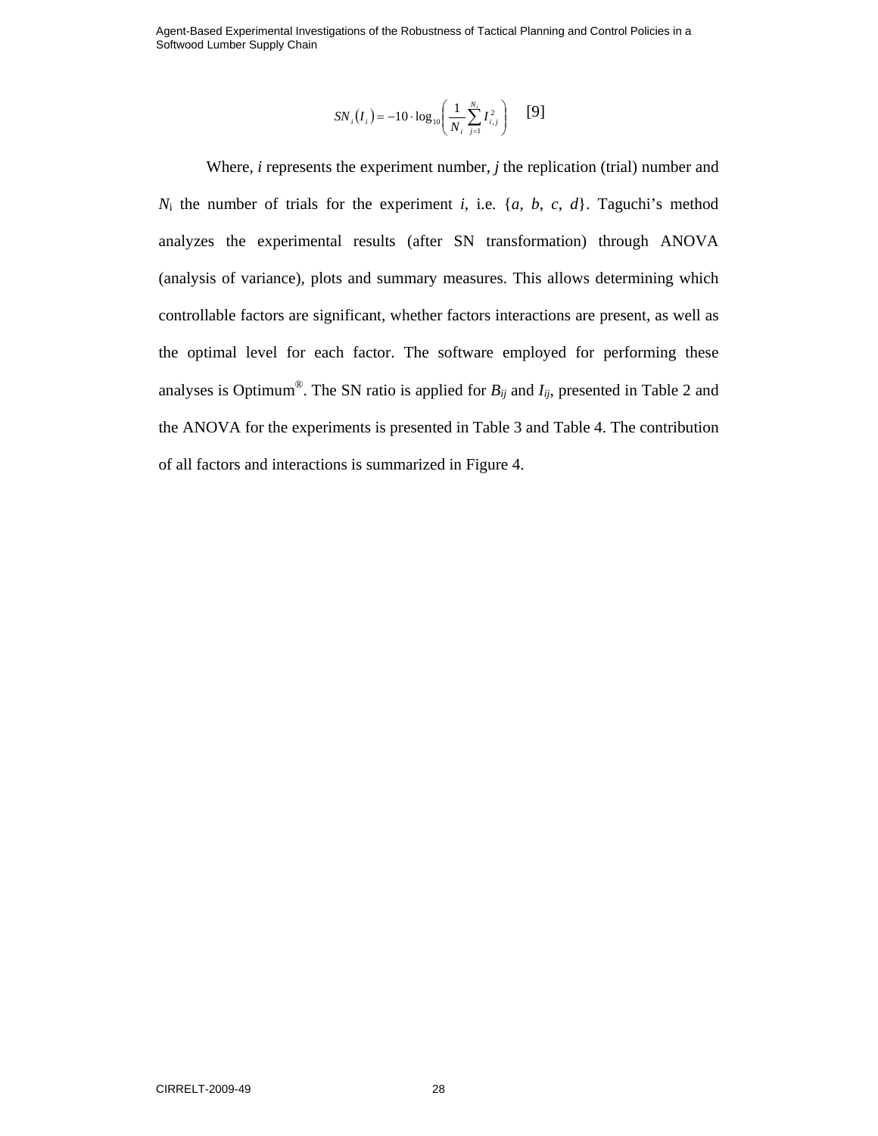$$
SN_i(I_i) = -10 \cdot \log_{10} \left( \frac{1}{N_i} \sum_{j=1}^{N_i} I_{i,j}^2 \right) \quad [9]
$$

Where, *i* represents the experiment number, *j* the replication (trial) number and  $N_i$  the number of trials for the experiment *i*, i.e.  $\{a, b, c, d\}$ . Taguchi's method analyzes the experimental results (after SN transformation) through ANOVA (analysis of variance), plots and summary measures. This allows determining which controllable factors are significant, whether factors interactions are present, as well as the optimal level for each factor. The software employed for performing these analyses is Optimum<sup>®</sup>. The SN ratio is applied for  $B_{ij}$  and  $I_{ij}$ , presented in Table 2 and the ANOVA for the experiments is presented in Table 3 and Table 4. The contribution of all factors and interactions is summarized in Figure 4.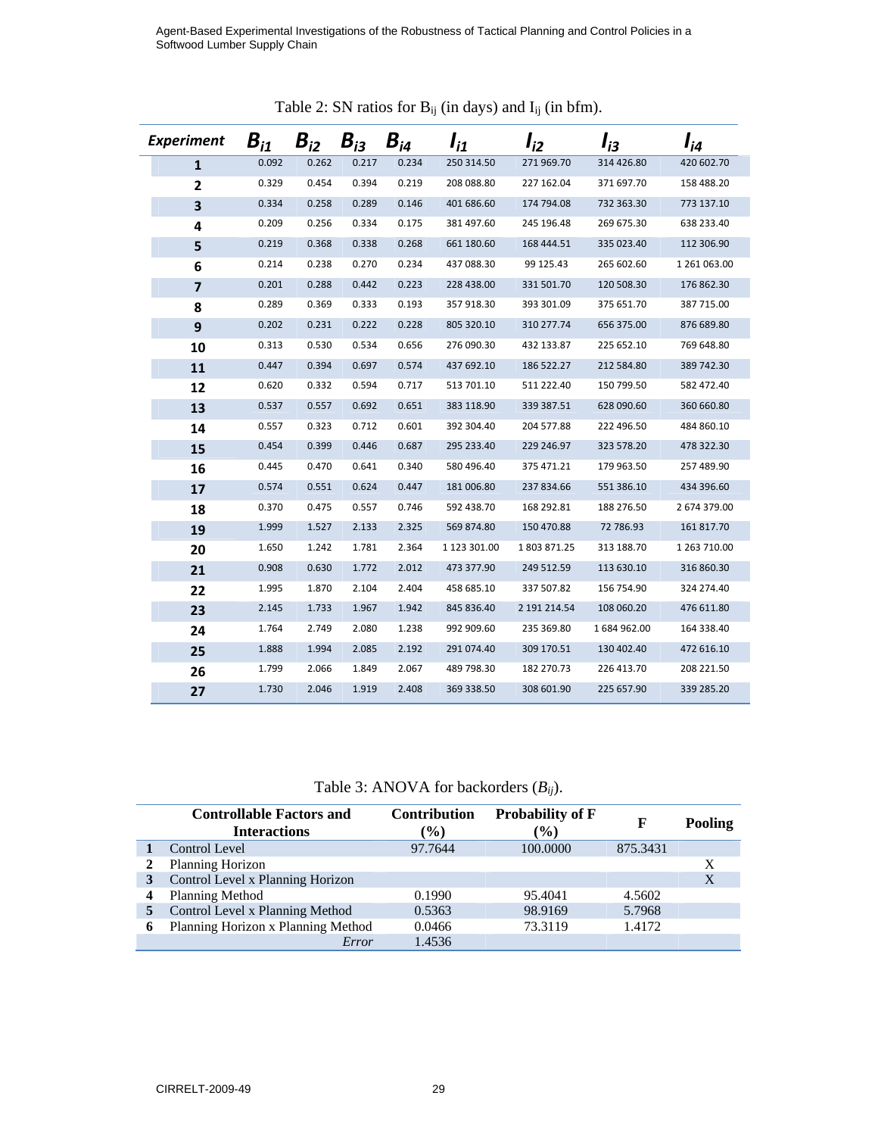| <b>Experiment</b> | $B_{i1}$ | $B_{i2}$ | $B_{i3}$ | $B_{i4}$ | $I_{i1}$     | $I_{i2}$     | $I_{i3}$   | $I_{i4}$     |
|-------------------|----------|----------|----------|----------|--------------|--------------|------------|--------------|
| 1                 | 0.092    | 0.262    | 0.217    | 0.234    | 250 314.50   | 271 969.70   | 314 426.80 | 420 602.70   |
| $\overline{2}$    | 0.329    | 0.454    | 0.394    | 0.219    | 208 088.80   | 227 162.04   | 371 697.70 | 158 488.20   |
| 3                 | 0.334    | 0.258    | 0.289    | 0.146    | 401 686.60   | 174 794.08   | 732 363.30 | 773 137.10   |
| 4                 | 0.209    | 0.256    | 0.334    | 0.175    | 381 497.60   | 245 196.48   | 269 675.30 | 638 233.40   |
| 5                 | 0.219    | 0.368    | 0.338    | 0.268    | 661 180.60   | 168 444.51   | 335 023.40 | 112 306.90   |
| 6                 | 0.214    | 0.238    | 0.270    | 0.234    | 437 088.30   | 99 125.43    | 265 602.60 | 1 261 063.00 |
| $\overline{7}$    | 0.201    | 0.288    | 0.442    | 0.223    | 228 438.00   | 331 501.70   | 120 508.30 | 176 862.30   |
| 8                 | 0.289    | 0.369    | 0.333    | 0.193    | 357 918.30   | 393 301.09   | 375 651.70 | 387 715.00   |
| 9                 | 0.202    | 0.231    | 0.222    | 0.228    | 805 320.10   | 310 277.74   | 656 375.00 | 876 689.80   |
| 10                | 0.313    | 0.530    | 0.534    | 0.656    | 276 090.30   | 432 133.87   | 225 652.10 | 769 648.80   |
| 11                | 0.447    | 0.394    | 0.697    | 0.574    | 437 692.10   | 186 522.27   | 212 584.80 | 389 742.30   |
| 12                | 0.620    | 0.332    | 0.594    | 0.717    | 513 701.10   | 511 222.40   | 150 799.50 | 582 472.40   |
| 13                | 0.537    | 0.557    | 0.692    | 0.651    | 383 118.90   | 339 387.51   | 628 090.60 | 360 660.80   |
| 14                | 0.557    | 0.323    | 0.712    | 0.601    | 392 304.40   | 204 577.88   | 222 496.50 | 484 860.10   |
| 15                | 0.454    | 0.399    | 0.446    | 0.687    | 295 233.40   | 229 246.97   | 323 578.20 | 478 322.30   |
| 16                | 0.445    | 0.470    | 0.641    | 0.340    | 580 496.40   | 375 471.21   | 179 963.50 | 257 489.90   |
| 17                | 0.574    | 0.551    | 0.624    | 0.447    | 181 006.80   | 237 834.66   | 551 386.10 | 434 396.60   |
| 18                | 0.370    | 0.475    | 0.557    | 0.746    | 592 438.70   | 168 292.81   | 188 276.50 | 2674379.00   |
| 19                | 1.999    | 1.527    | 2.133    | 2.325    | 569 874.80   | 150 470.88   | 72 786.93  | 161 817.70   |
| 20                | 1.650    | 1.242    | 1.781    | 2.364    | 1 123 301.00 | 1803871.25   | 313 188.70 | 1 263 710.00 |
| 21                | 0.908    | 0.630    | 1.772    | 2.012    | 473 377.90   | 249 512.59   | 113 630.10 | 316 860.30   |
| 22                | 1.995    | 1.870    | 2.104    | 2.404    | 458 685.10   | 337 507.82   | 156 754.90 | 324 274.40   |
| 23                | 2.145    | 1.733    | 1.967    | 1.942    | 845 836.40   | 2 191 214.54 | 108 060.20 | 476 611.80   |
| 24                | 1.764    | 2.749    | 2.080    | 1.238    | 992 909.60   | 235 369.80   | 1684962.00 | 164 338.40   |
| 25                | 1.888    | 1.994    | 2.085    | 2.192    | 291 074.40   | 309 170.51   | 130 402.40 | 472 616.10   |
| 26                | 1.799    | 2.066    | 1.849    | 2.067    | 489 798.30   | 182 270.73   | 226 413.70 | 208 221.50   |
| 27                | 1.730    | 2.046    | 1.919    | 2.408    | 369 338.50   | 308 601.90   | 225 657.90 | 339 285.20   |

Table 2: SN ratios for  $B_{ij}$  (in days) and  $I_{ij}$  (in bfm).

Table 3: ANOVA for backorders (*Bij*).

|   | <b>Controllable Factors and</b><br><b>Interactions</b> | <b>Contribution</b><br>$\binom{0}{0}$ | <b>Probability of F</b><br>$($ %) | F        | Pooling |
|---|--------------------------------------------------------|---------------------------------------|-----------------------------------|----------|---------|
|   | Control Level                                          | 97.7644                               | 100.0000                          | 875.3431 |         |
|   | Planning Horizon                                       |                                       |                                   |          | X       |
|   | Control Level x Planning Horizon                       |                                       |                                   |          | X       |
| 4 | Planning Method                                        | 0.1990                                | 95.4041                           | 4.5602   |         |
| 5 | Control Level x Planning Method                        | 0.5363                                | 98.9169                           | 5.7968   |         |
| 6 | Planning Horizon x Planning Method                     | 0.0466                                | 73.3119                           | 1.4172   |         |
|   | Error                                                  | 1.4536                                |                                   |          |         |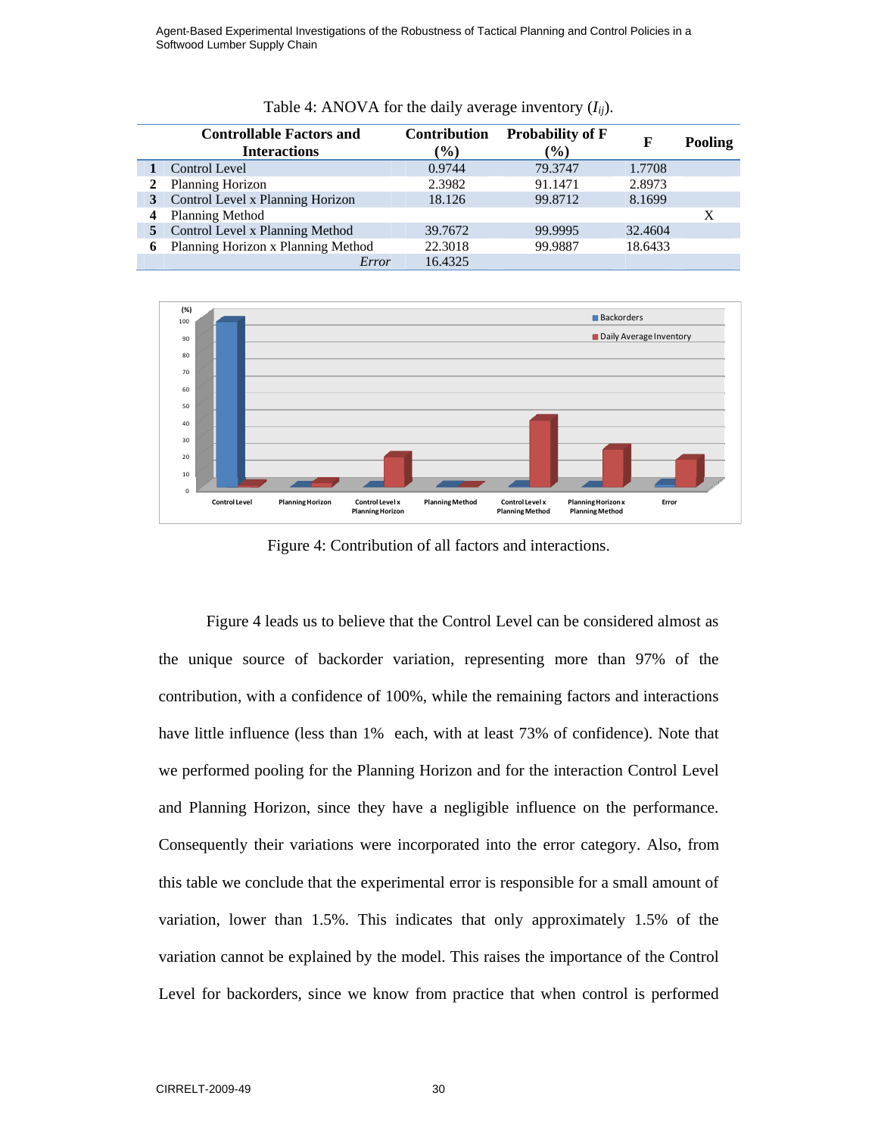|    | <b>Controllable Factors and</b><br><b>Interactions</b> | <b>Contribution</b><br>$(\%)$ | <b>Probability of F</b><br>$\frac{1}{2}$ | F       | Pooling |
|----|--------------------------------------------------------|-------------------------------|------------------------------------------|---------|---------|
|    | Control Level                                          | 0.9744                        | 79.3747                                  | 1.7708  |         |
| 2  | Planning Horizon                                       | 2.3982                        | 91.1471                                  | 2.8973  |         |
| 3  | Control Level x Planning Horizon                       | 18.126                        | 99.8712                                  | 8.1699  |         |
| 4  | <b>Planning Method</b>                                 |                               |                                          |         | X       |
| 5. | Control Level x Planning Method                        | 39.7672                       | 99.9995                                  | 32.4604 |         |
| 6  | Planning Horizon x Planning Method                     | 22.3018                       | 99.9887                                  | 18.6433 |         |
|    | Error                                                  | 16.4325                       |                                          |         |         |
|    |                                                        |                               |                                          |         |         |

Table 4: ANOVA for the daily average inventory (*Iij*).



Figure 4: Contribution of all factors and interactions.

Figure 4 leads us to believe that the Control Level can be considered almost as the unique source of backorder variation, representing more than 97% of the contribution, with a confidence of 100%, while the remaining factors and interactions have little influence (less than 1% each, with at least 73% of confidence). Note that we performed pooling for the Planning Horizon and for the interaction Control Level and Planning Horizon, since they have a negligible influence on the performance. Consequently their variations were incorporated into the error category. Also, from this table we conclude that the experimental error is responsible for a small amount of variation, lower than 1.5%. This indicates that only approximately 1.5% of the variation cannot be explained by the model. This raises the importance of the Control Level for backorders, since we know from practice that when control is performed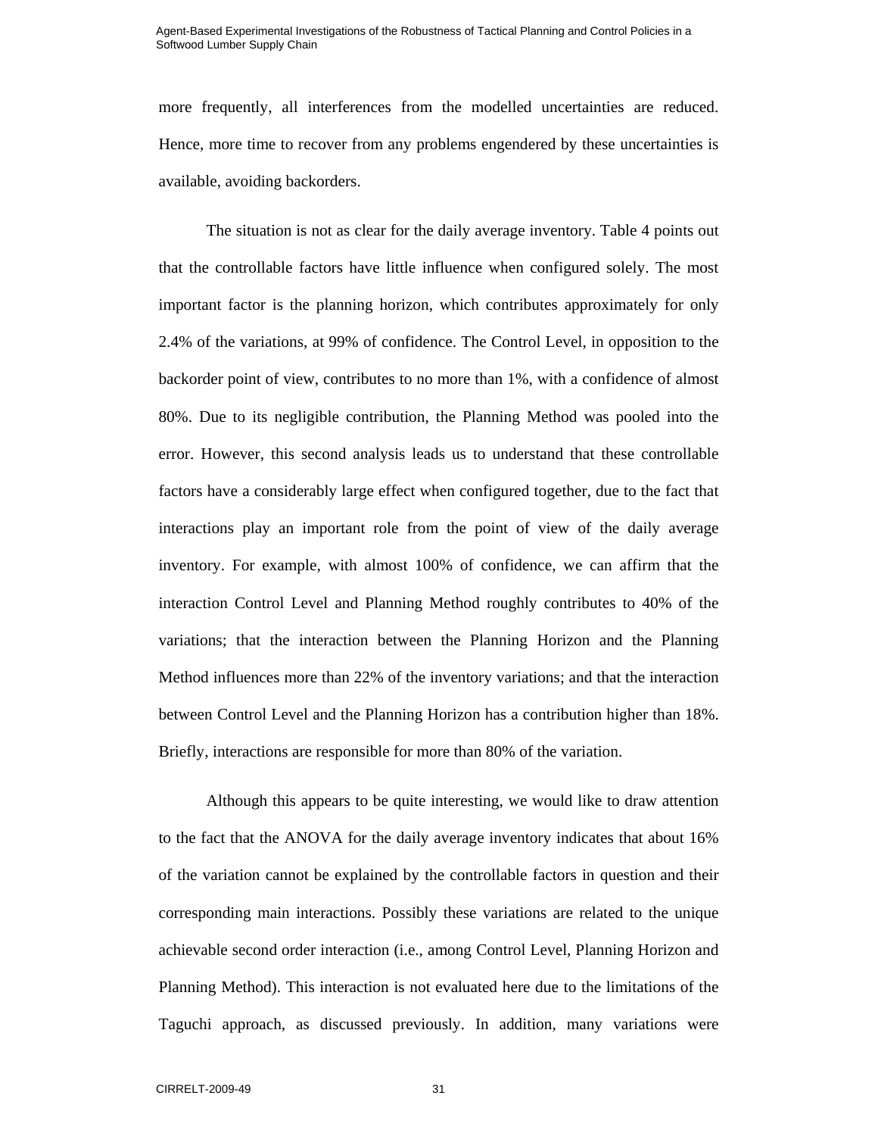more frequently, all interferences from the modelled uncertainties are reduced. Hence, more time to recover from any problems engendered by these uncertainties is available, avoiding backorders.

The situation is not as clear for the daily average inventory. Table 4 points out that the controllable factors have little influence when configured solely. The most important factor is the planning horizon, which contributes approximately for only 2.4% of the variations, at 99% of confidence. The Control Level, in opposition to the backorder point of view, contributes to no more than 1%, with a confidence of almost 80%. Due to its negligible contribution, the Planning Method was pooled into the error. However, this second analysis leads us to understand that these controllable factors have a considerably large effect when configured together, due to the fact that interactions play an important role from the point of view of the daily average inventory. For example, with almost 100% of confidence, we can affirm that the interaction Control Level and Planning Method roughly contributes to 40% of the variations; that the interaction between the Planning Horizon and the Planning Method influences more than 22% of the inventory variations; and that the interaction between Control Level and the Planning Horizon has a contribution higher than 18%. Briefly, interactions are responsible for more than 80% of the variation.

Although this appears to be quite interesting, we would like to draw attention to the fact that the ANOVA for the daily average inventory indicates that about 16% of the variation cannot be explained by the controllable factors in question and their corresponding main interactions. Possibly these variations are related to the unique achievable second order interaction (i.e., among Control Level, Planning Horizon and Planning Method). This interaction is not evaluated here due to the limitations of the Taguchi approach, as discussed previously. In addition, many variations were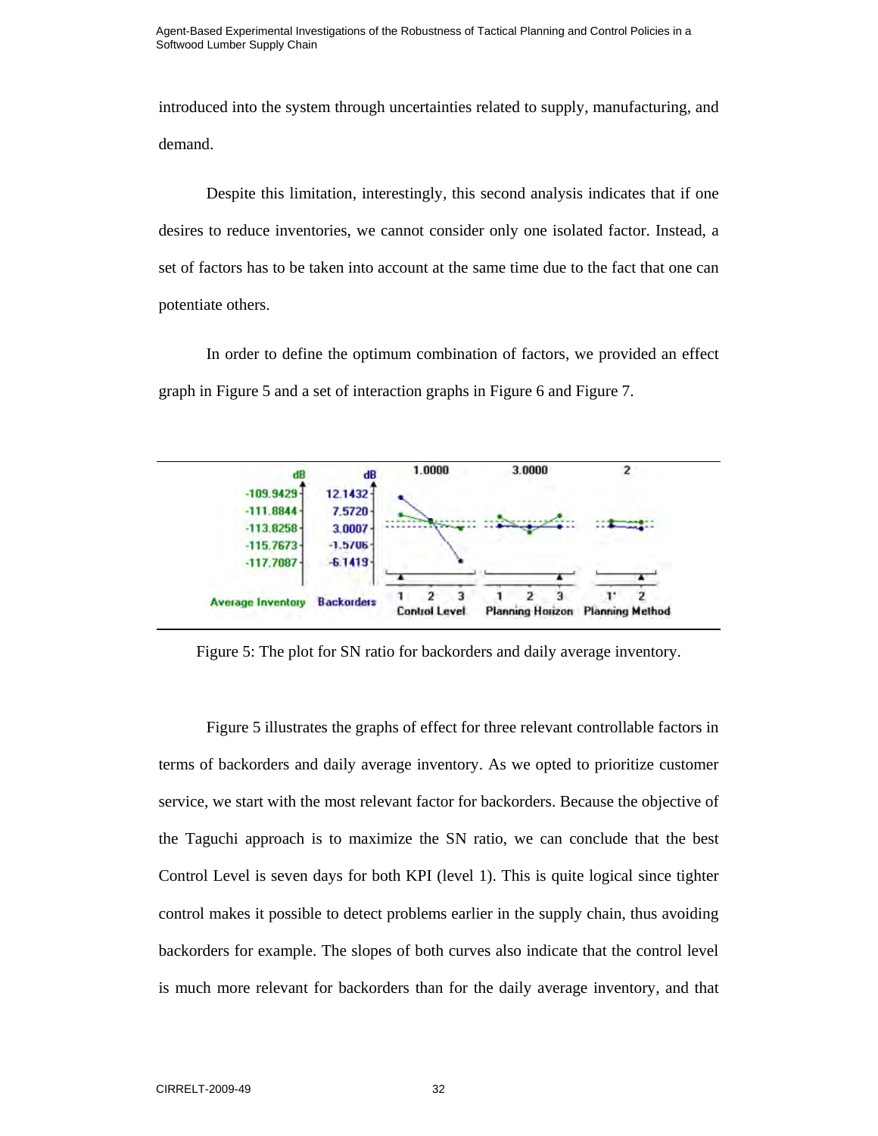introduced into the system through uncertainties related to supply, manufacturing, and demand.

Despite this limitation, interestingly, this second analysis indicates that if one desires to reduce inventories, we cannot consider only one isolated factor. Instead, a set of factors has to be taken into account at the same time due to the fact that one can potentiate others.

In order to define the optimum combination of factors, we provided an effect graph in Figure 5 and a set of interaction graphs in Figure 6 and Figure 7.



Figure 5: The plot for SN ratio for backorders and daily average inventory.

Figure 5 illustrates the graphs of effect for three relevant controllable factors in terms of backorders and daily average inventory. As we opted to prioritize customer service, we start with the most relevant factor for backorders. Because the objective of the Taguchi approach is to maximize the SN ratio, we can conclude that the best Control Level is seven days for both KPI (level 1). This is quite logical since tighter control makes it possible to detect problems earlier in the supply chain, thus avoiding backorders for example. The slopes of both curves also indicate that the control level is much more relevant for backorders than for the daily average inventory, and that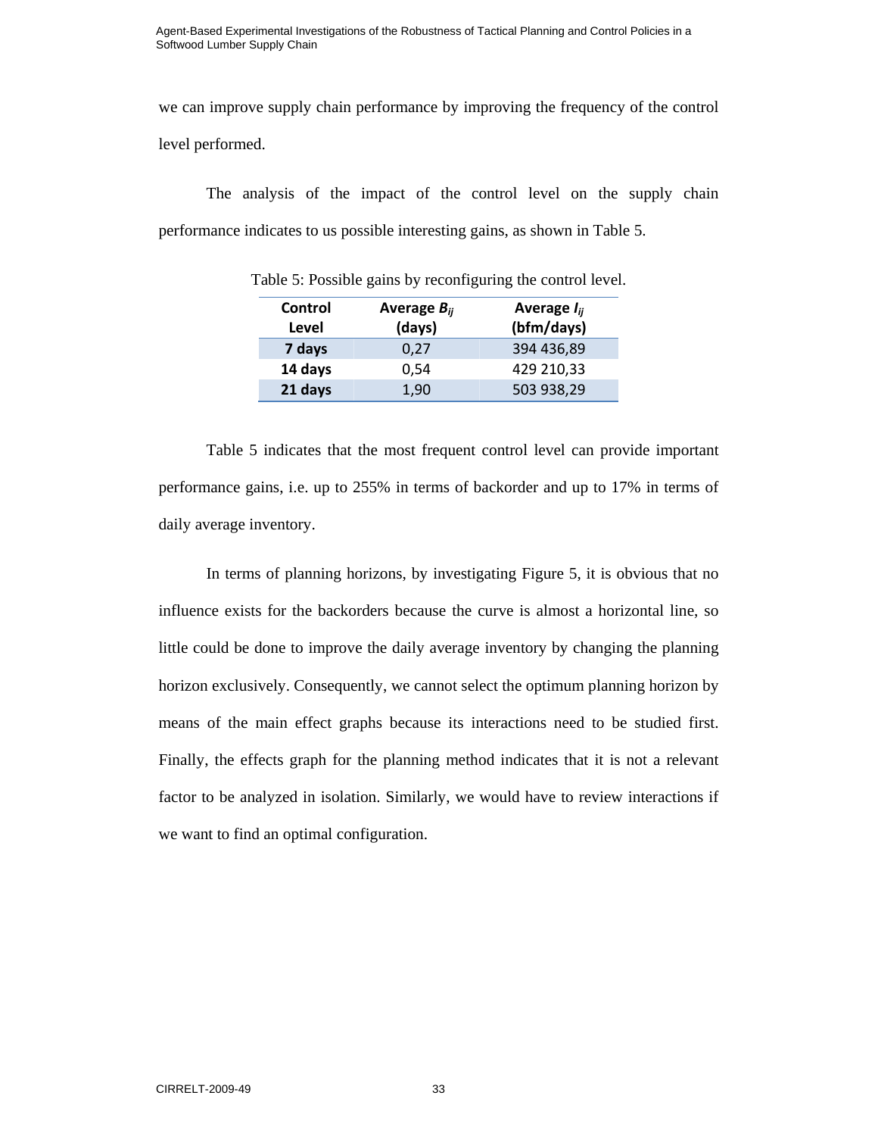we can improve supply chain performance by improving the frequency of the control level performed.

The analysis of the impact of the control level on the supply chain performance indicates to us possible interesting gains, as shown in Table 5.

| Control<br>Level | Average $B_{ii}$<br>(days) | Average $I_{ii}$<br>(bfm/days) |
|------------------|----------------------------|--------------------------------|
| 7 days           | 0,27                       | 394 436,89                     |
| 14 days          | 0,54                       | 429 210,33                     |
| 21 days          | 1,90                       | 503 938,29                     |

Table 5: Possible gains by reconfiguring the control level.

Table 5 indicates that the most frequent control level can provide important performance gains, i.e. up to 255% in terms of backorder and up to 17% in terms of daily average inventory.

In terms of planning horizons, by investigating Figure 5, it is obvious that no influence exists for the backorders because the curve is almost a horizontal line, so little could be done to improve the daily average inventory by changing the planning horizon exclusively. Consequently, we cannot select the optimum planning horizon by means of the main effect graphs because its interactions need to be studied first. Finally, the effects graph for the planning method indicates that it is not a relevant factor to be analyzed in isolation. Similarly, we would have to review interactions if we want to find an optimal configuration.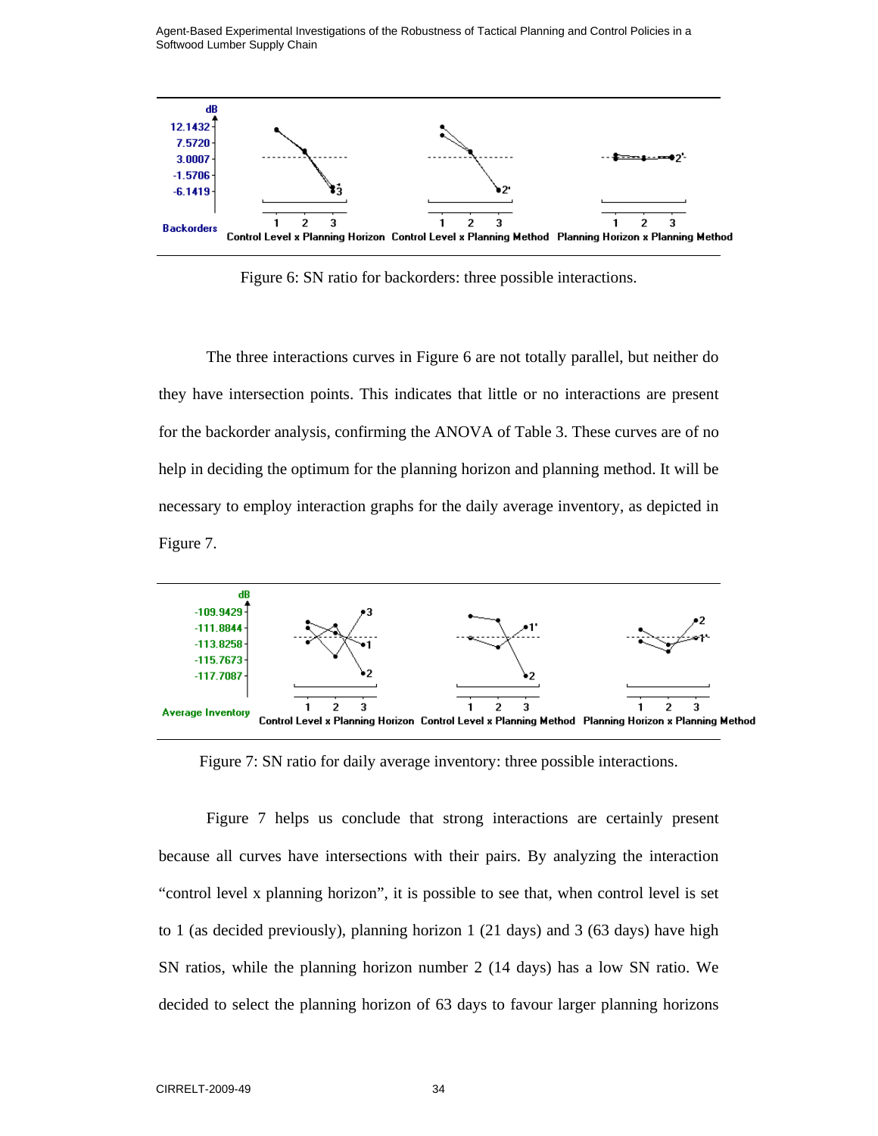

Figure 6: SN ratio for backorders: three possible interactions.

The three interactions curves in Figure 6 are not totally parallel, but neither do they have intersection points. This indicates that little or no interactions are present for the backorder analysis, confirming the ANOVA of Table 3. These curves are of no help in deciding the optimum for the planning horizon and planning method. It will be necessary to employ interaction graphs for the daily average inventory, as depicted in Figure 7.



Figure 7: SN ratio for daily average inventory: three possible interactions.

Figure 7 helps us conclude that strong interactions are certainly present because all curves have intersections with their pairs. By analyzing the interaction "control level x planning horizon", it is possible to see that, when control level is set to 1 (as decided previously), planning horizon 1 (21 days) and 3 (63 days) have high SN ratios, while the planning horizon number 2 (14 days) has a low SN ratio. We decided to select the planning horizon of 63 days to favour larger planning horizons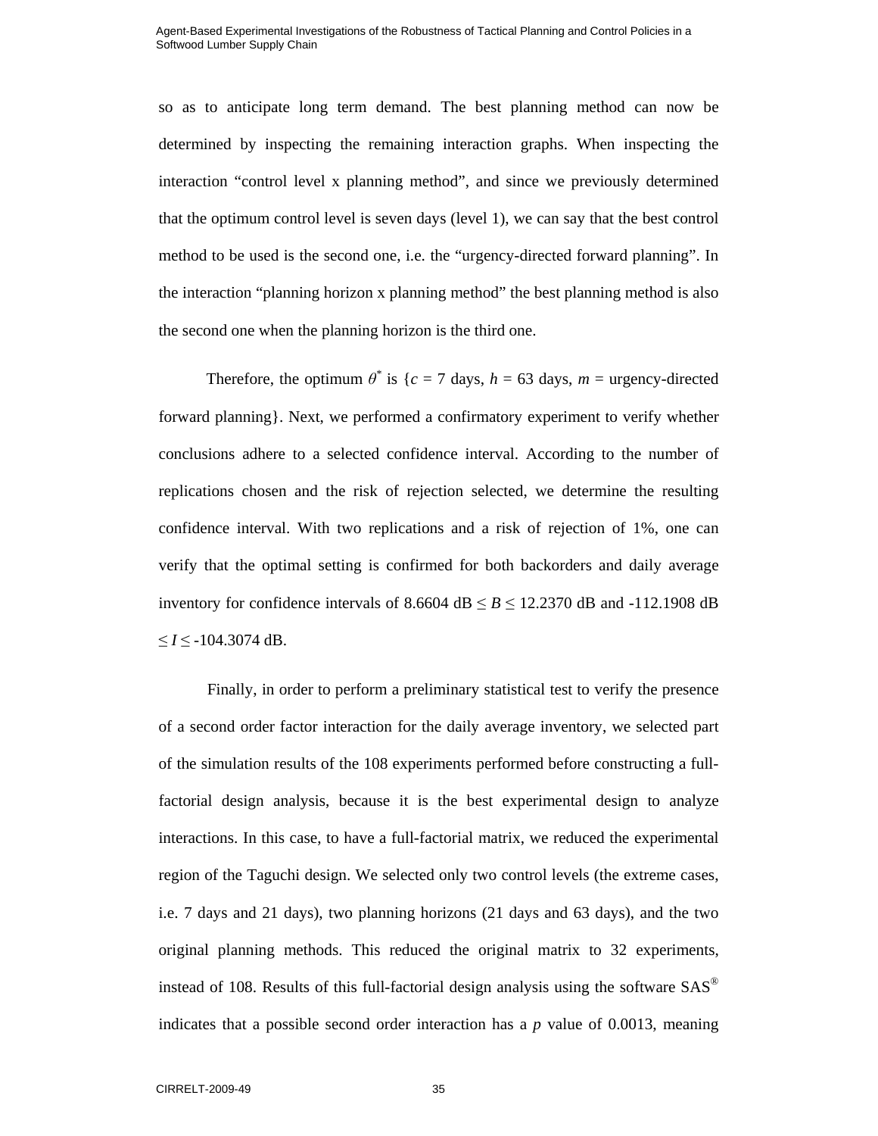so as to anticipate long term demand. The best planning method can now be determined by inspecting the remaining interaction graphs. When inspecting the interaction "control level x planning method", and since we previously determined that the optimum control level is seven days (level 1), we can say that the best control method to be used is the second one, i.e. the "urgency-directed forward planning". In the interaction "planning horizon x planning method" the best planning method is also the second one when the planning horizon is the third one.

Therefore, the optimum  $\theta^*$  is {*c* = 7 days, *h* = 63 days, *m* = urgency-directed forward planning}. Next, we performed a confirmatory experiment to verify whether conclusions adhere to a selected confidence interval. According to the number of replications chosen and the risk of rejection selected, we determine the resulting confidence interval. With two replications and a risk of rejection of 1%, one can verify that the optimal setting is confirmed for both backorders and daily average inventory for confidence intervals of 8.6604 dB  $\leq$  *B*  $\leq$  12.2370 dB and -112.1908 dB  $≤ I ≤ -104.3074 dB.$ 

Finally, in order to perform a preliminary statistical test to verify the presence of a second order factor interaction for the daily average inventory, we selected part of the simulation results of the 108 experiments performed before constructing a fullfactorial design analysis, because it is the best experimental design to analyze interactions. In this case, to have a full-factorial matrix, we reduced the experimental region of the Taguchi design. We selected only two control levels (the extreme cases, i.e. 7 days and 21 days), two planning horizons (21 days and 63 days), and the two original planning methods. This reduced the original matrix to 32 experiments, instead of 108. Results of this full-factorial design analysis using the software SAS® indicates that a possible second order interaction has a *p* value of 0.0013, meaning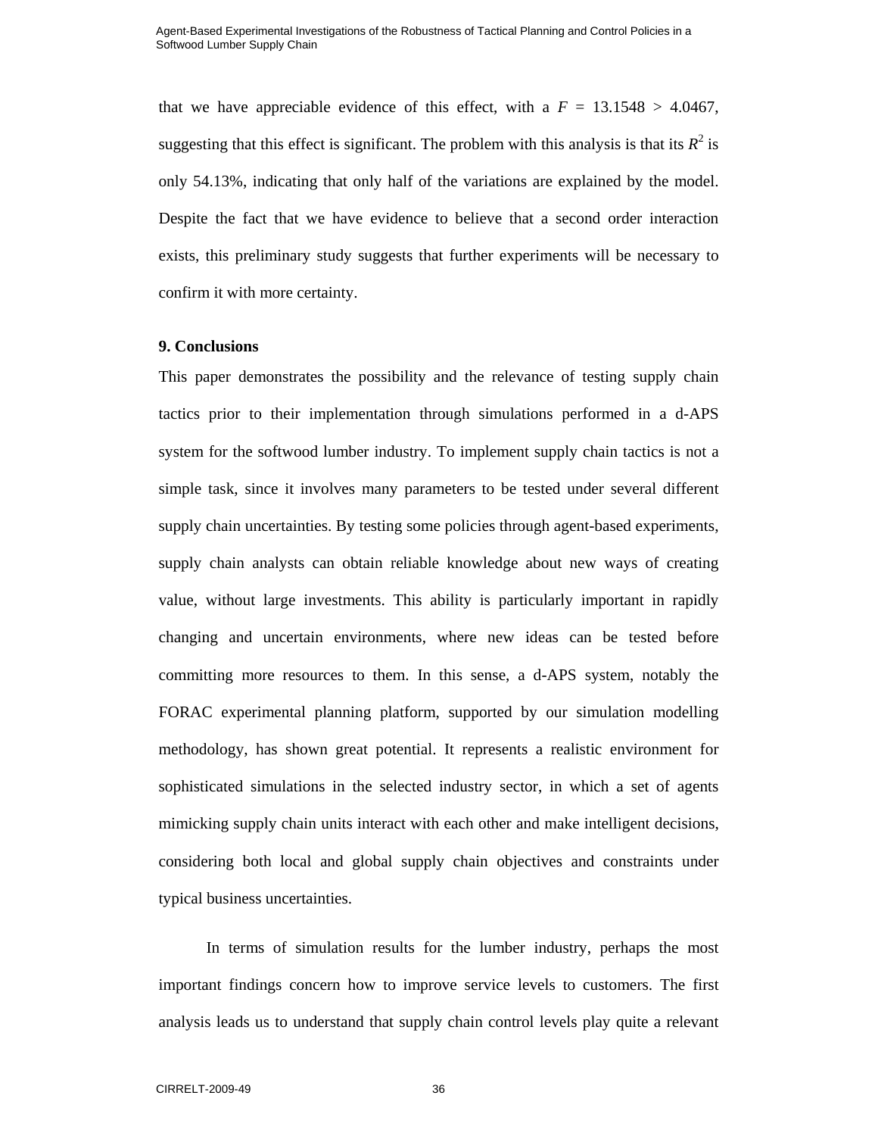that we have appreciable evidence of this effect, with a  $F = 13.1548 > 4.0467$ , suggesting that this effect is significant. The problem with this analysis is that its  $R^2$  is only 54.13%, indicating that only half of the variations are explained by the model. Despite the fact that we have evidence to believe that a second order interaction exists, this preliminary study suggests that further experiments will be necessary to confirm it with more certainty.

# **9. Conclusions**

This paper demonstrates the possibility and the relevance of testing supply chain tactics prior to their implementation through simulations performed in a d-APS system for the softwood lumber industry. To implement supply chain tactics is not a simple task, since it involves many parameters to be tested under several different supply chain uncertainties. By testing some policies through agent-based experiments, supply chain analysts can obtain reliable knowledge about new ways of creating value, without large investments. This ability is particularly important in rapidly changing and uncertain environments, where new ideas can be tested before committing more resources to them. In this sense, a d-APS system, notably the FORAC experimental planning platform, supported by our simulation modelling methodology, has shown great potential. It represents a realistic environment for sophisticated simulations in the selected industry sector, in which a set of agents mimicking supply chain units interact with each other and make intelligent decisions, considering both local and global supply chain objectives and constraints under typical business uncertainties.

In terms of simulation results for the lumber industry, perhaps the most important findings concern how to improve service levels to customers. The first analysis leads us to understand that supply chain control levels play quite a relevant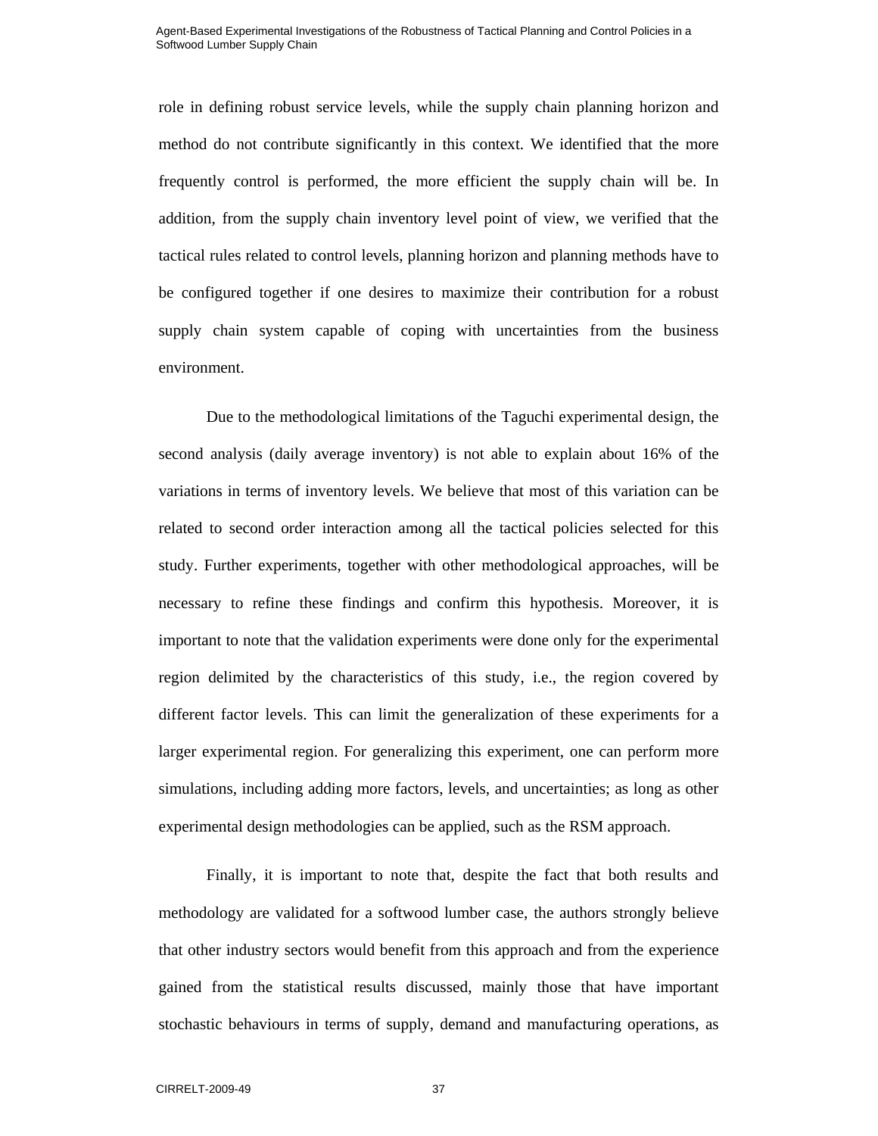role in defining robust service levels, while the supply chain planning horizon and method do not contribute significantly in this context. We identified that the more frequently control is performed, the more efficient the supply chain will be. In addition, from the supply chain inventory level point of view, we verified that the tactical rules related to control levels, planning horizon and planning methods have to be configured together if one desires to maximize their contribution for a robust supply chain system capable of coping with uncertainties from the business environment.

Due to the methodological limitations of the Taguchi experimental design, the second analysis (daily average inventory) is not able to explain about 16% of the variations in terms of inventory levels. We believe that most of this variation can be related to second order interaction among all the tactical policies selected for this study. Further experiments, together with other methodological approaches, will be necessary to refine these findings and confirm this hypothesis. Moreover, it is important to note that the validation experiments were done only for the experimental region delimited by the characteristics of this study, i.e., the region covered by different factor levels. This can limit the generalization of these experiments for a larger experimental region. For generalizing this experiment, one can perform more simulations, including adding more factors, levels, and uncertainties; as long as other experimental design methodologies can be applied, such as the RSM approach.

Finally, it is important to note that, despite the fact that both results and methodology are validated for a softwood lumber case, the authors strongly believe that other industry sectors would benefit from this approach and from the experience gained from the statistical results discussed, mainly those that have important stochastic behaviours in terms of supply, demand and manufacturing operations, as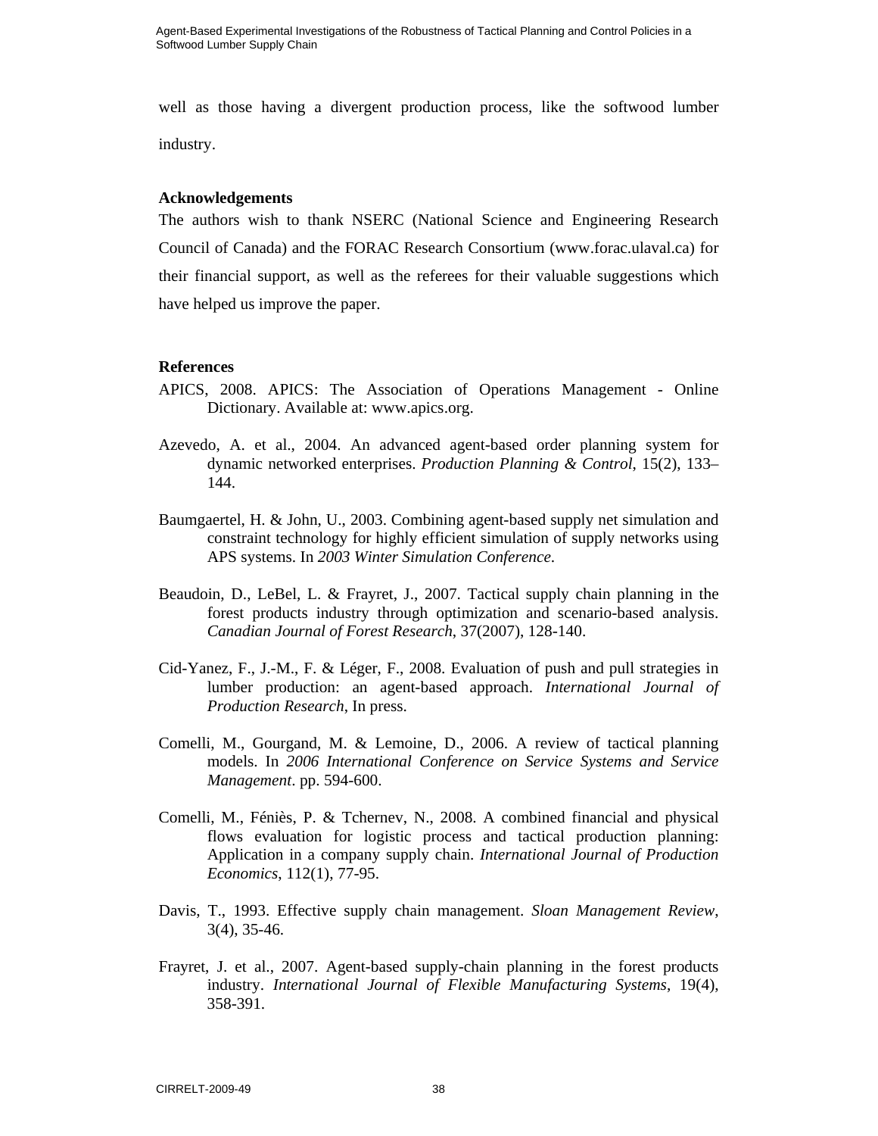well as those having a divergent production process, like the softwood lumber industry.

### **Acknowledgements**

The authors wish to thank NSERC (National Science and Engineering Research Council of Canada) and the FORAC Research Consortium (www.forac.ulaval.ca) for their financial support, as well as the referees for their valuable suggestions which have helped us improve the paper.

### **References**

- APICS, 2008. APICS: The Association of Operations Management Online Dictionary. Available at: www.apics.org.
- Azevedo, A. et al., 2004. An advanced agent-based order planning system for dynamic networked enterprises. *Production Planning & Control*, 15(2), 133– 144.
- Baumgaertel, H. & John, U., 2003. Combining agent-based supply net simulation and constraint technology for highly efficient simulation of supply networks using APS systems. In *2003 Winter Simulation Conference*.
- Beaudoin, D., LeBel, L. & Frayret, J., 2007. Tactical supply chain planning in the forest products industry through optimization and scenario-based analysis. *Canadian Journal of Forest Research*, 37(2007), 128-140.
- Cid-Yanez, F., J.-M., F. & Léger, F., 2008. Evaluation of push and pull strategies in lumber production: an agent-based approach. *International Journal of Production Research*, In press.
- Comelli, M., Gourgand, M. & Lemoine, D., 2006. A review of tactical planning models. In *2006 International Conference on Service Systems and Service Management*. pp. 594-600.
- Comelli, M., Féniès, P. & Tchernev, N., 2008. A combined financial and physical flows evaluation for logistic process and tactical production planning: Application in a company supply chain. *International Journal of Production Economics*, 112(1), 77-95.
- Davis, T., 1993. Effective supply chain management. *Sloan Management Review*, 3(4), 35-46.
- Frayret, J. et al., 2007. Agent-based supply-chain planning in the forest products industry. *International Journal of Flexible Manufacturing Systems*, 19(4), 358-391.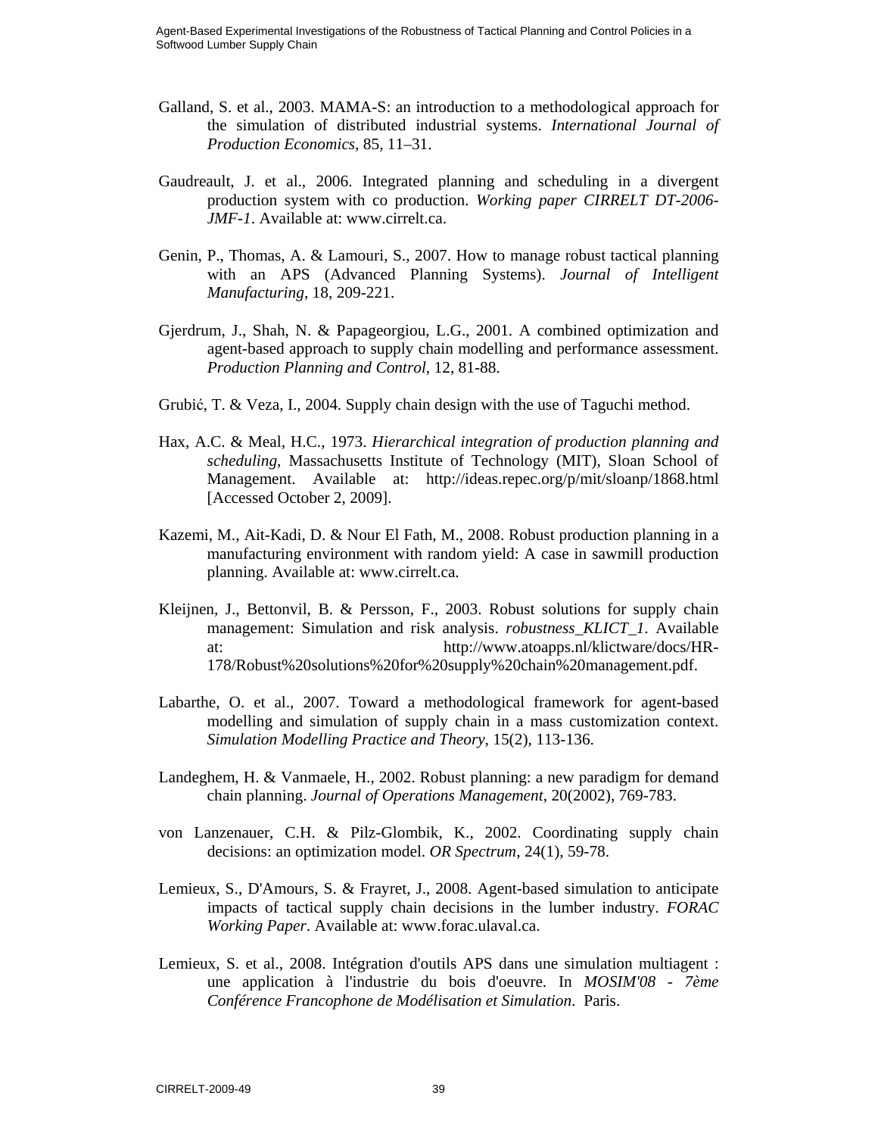- Galland, S. et al., 2003. MAMA-S: an introduction to a methodological approach for the simulation of distributed industrial systems. *International Journal of Production Economics*, 85, 11–31.
- Gaudreault, J. et al., 2006. Integrated planning and scheduling in a divergent production system with co production. *Working paper CIRRELT DT-2006- JMF-1*. Available at: www.cirrelt.ca.
- Genin, P., Thomas, A. & Lamouri, S., 2007. How to manage robust tactical planning with an APS (Advanced Planning Systems). *Journal of Intelligent Manufacturing*, 18, 209-221.
- Gjerdrum, J., Shah, N. & Papageorgiou, L.G., 2001. A combined optimization and agent-based approach to supply chain modelling and performance assessment. *Production Planning and Control*, 12, 81-88.
- Grubić, T. & Veza, I., 2004. Supply chain design with the use of Taguchi method.
- Hax, A.C. & Meal, H.C., 1973. *Hierarchical integration of production planning and scheduling*, Massachusetts Institute of Technology (MIT), Sloan School of Management. Available at: http://ideas.repec.org/p/mit/sloanp/1868.html [Accessed October 2, 2009].
- Kazemi, M., Ait-Kadi, D. & Nour El Fath, M., 2008. Robust production planning in a manufacturing environment with random yield: A case in sawmill production planning. Available at: www.cirrelt.ca.
- Kleijnen, J., Bettonvil, B. & Persson, F., 2003. Robust solutions for supply chain management: Simulation and risk analysis. *robustness\_KLICT\_1*. Available at: http://www.atoapps.nl/klictware/docs/HR-178/Robust%20solutions%20for%20supply%20chain%20management.pdf.
- Labarthe, O. et al., 2007. Toward a methodological framework for agent-based modelling and simulation of supply chain in a mass customization context. *Simulation Modelling Practice and Theory*, 15(2), 113-136.
- Landeghem, H. & Vanmaele, H., 2002. Robust planning: a new paradigm for demand chain planning. *Journal of Operations Management*, 20(2002), 769-783.
- von Lanzenauer, C.H. & Pilz-Glombik, K., 2002. Coordinating supply chain decisions: an optimization model. *OR Spectrum*, 24(1), 59-78.
- Lemieux, S., D'Amours, S. & Frayret, J., 2008. Agent-based simulation to anticipate impacts of tactical supply chain decisions in the lumber industry. *FORAC Working Paper*. Available at: www.forac.ulaval.ca.
- Lemieux, S. et al., 2008. Intégration d'outils APS dans une simulation multiagent : une application à l'industrie du bois d'oeuvre. In *MOSIM'08 - 7ème Conférence Francophone de Modélisation et Simulation*. Paris.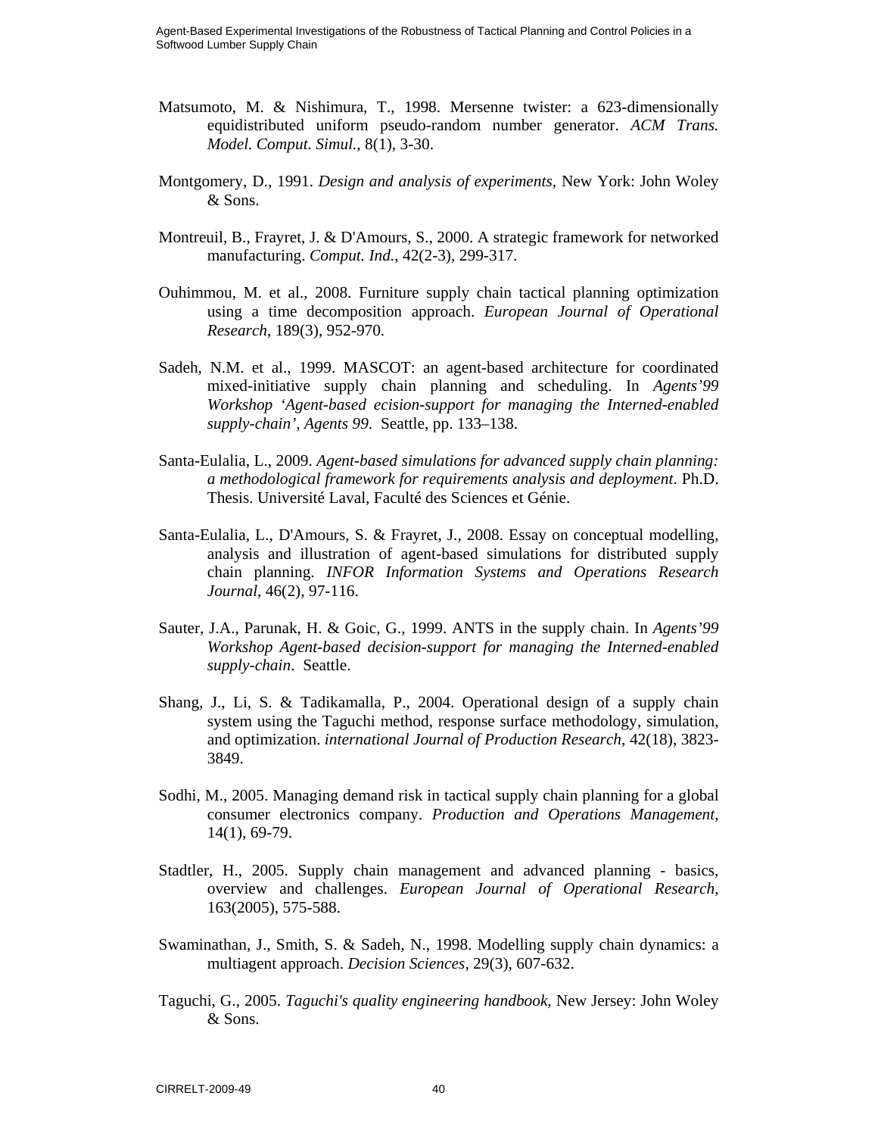- Matsumoto, M. & Nishimura, T., 1998. Mersenne twister: a 623-dimensionally equidistributed uniform pseudo-random number generator. *ACM Trans. Model. Comput. Simul.*, 8(1), 3-30.
- Montgomery, D., 1991. *Design and analysis of experiments*, New York: John Woley & Sons.
- Montreuil, B., Frayret, J. & D'Amours, S., 2000. A strategic framework for networked manufacturing. *Comput. Ind.*, 42(2-3), 299-317.
- Ouhimmou, M. et al., 2008. Furniture supply chain tactical planning optimization using a time decomposition approach. *European Journal of Operational Research*, 189(3), 952-970.
- Sadeh, N.M. et al., 1999. MASCOT: an agent-based architecture for coordinated mixed-initiative supply chain planning and scheduling. In *Agents'99 Workshop 'Agent-based ecision-support for managing the Interned-enabled supply-chain', Agents 99*. Seattle, pp. 133–138.
- Santa-Eulalia, L., 2009. *Agent-based simulations for advanced supply chain planning: a methodological framework for requirements analysis and deployment*. Ph.D. Thesis. Université Laval, Faculté des Sciences et Génie.
- Santa-Eulalia, L., D'Amours, S. & Frayret, J., 2008. Essay on conceptual modelling, analysis and illustration of agent-based simulations for distributed supply chain planning. *INFOR Information Systems and Operations Research Journal*, 46(2), 97-116.
- Sauter, J.A., Parunak, H. & Goic, G., 1999. ANTS in the supply chain. In *Agents'99 Workshop Agent-based decision-support for managing the Interned-enabled supply-chain*. Seattle.
- Shang, J., Li, S. & Tadikamalla, P., 2004. Operational design of a supply chain system using the Taguchi method, response surface methodology, simulation, and optimization. *international Journal of Production Research*, 42(18), 3823- 3849.
- Sodhi, M., 2005. Managing demand risk in tactical supply chain planning for a global consumer electronics company. *Production and Operations Management*, 14(1), 69-79.
- Stadtler, H., 2005. Supply chain management and advanced planning basics, overview and challenges. *European Journal of Operational Research*, 163(2005), 575-588.
- Swaminathan, J., Smith, S. & Sadeh, N., 1998. Modelling supply chain dynamics: a multiagent approach. *Decision Sciences*, 29(3), 607-632.
- Taguchi, G., 2005. *Taguchi's quality engineering handbook*, New Jersey: John Woley & Sons.